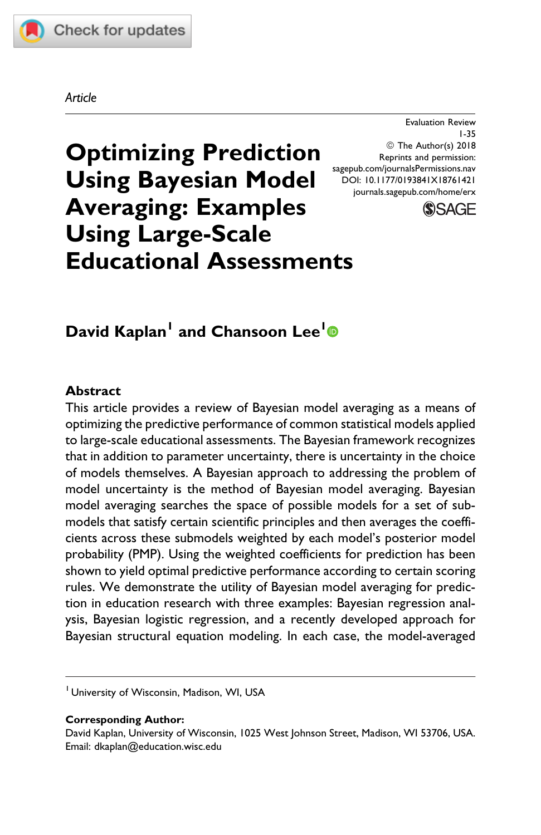

#### Article

Evaluation Review 1-35 © The Author(s) 2018 Reprints and permission: [sagepub.com/journalsPermissions.nav](https://us.sagepub.com/en-us/journals-permissions) [DOI: 10.1177/0193841X18761421](https://doi.org/10.1177/0193841X18761421) [journals.sagepub.com/home/erx](http://journals.sagepub.com/home/erx)



# Optimizing Prediction Using Bayesian Model Averaging: Examples Using Large-Scale Educational Assessments

David Kaplan<sup>[1](http://orcid.org/0000-0002-3669-3019)</sup> and Chansoon Lee<sup>1</sup><sup>®</sup>

#### Abstract

This article provides a review of Bayesian model averaging as a means of optimizing the predictive performance of common statistical models applied to large-scale educational assessments. The Bayesian framework recognizes that in addition to parameter uncertainty, there is uncertainty in the choice of models themselves. A Bayesian approach to addressing the problem of model uncertainty is the method of Bayesian model averaging. Bayesian model averaging searches the space of possible models for a set of submodels that satisfy certain scientific principles and then averages the coefficients across these submodels weighted by each model's posterior model probability (PMP). Using the weighted coefficients for prediction has been shown to yield optimal predictive performance according to certain scoring rules. We demonstrate the utility of Bayesian model averaging for prediction in education research with three examples: Bayesian regression analysis, Bayesian logistic regression, and a recently developed approach for Bayesian structural equation modeling. In each case, the model-averaged

#### Corresponding Author:

<sup>&</sup>lt;sup>1</sup> University of Wisconsin, Madison, WI, USA

David Kaplan, University of Wisconsin, 1025 West Johnson Street, Madison, WI 53706, USA. Email: [dkaplan@education.wisc.edu](mailto:dkaplan@education.wisc.edu)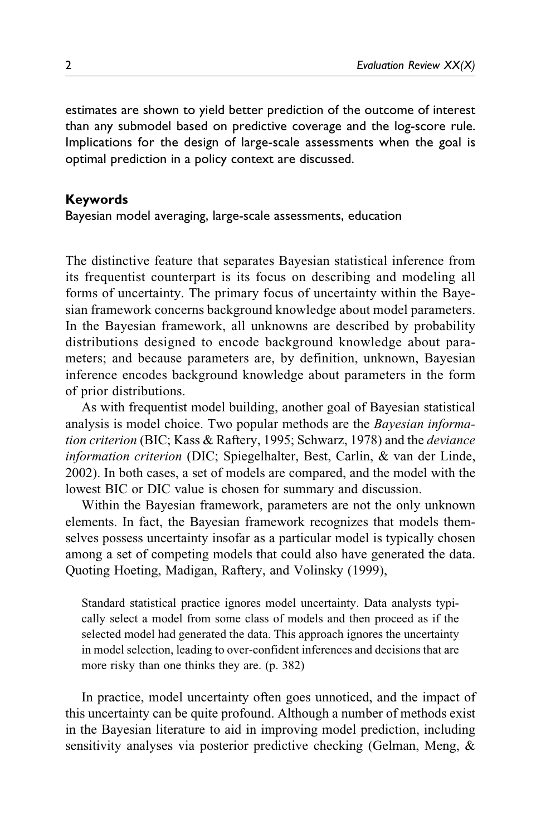estimates are shown to yield better prediction of the outcome of interest than any submodel based on predictive coverage and the log-score rule. Implications for the design of large-scale assessments when the goal is optimal prediction in a policy context are discussed.

#### Keywords

Bayesian model averaging, large-scale assessments, education

The distinctive feature that separates Bayesian statistical inference from its frequentist counterpart is its focus on describing and modeling all forms of uncertainty. The primary focus of uncertainty within the Bayesian framework concerns background knowledge about model parameters. In the Bayesian framework, all unknowns are described by probability distributions designed to encode background knowledge about parameters; and because parameters are, by definition, unknown, Bayesian inference encodes background knowledge about parameters in the form of prior distributions.

As with frequentist model building, another goal of Bayesian statistical analysis is model choice. Two popular methods are the Bayesian information criterion (BIC; Kass & Raftery, 1995; Schwarz, 1978) and the deviance information criterion (DIC; Spiegelhalter, Best, Carlin, & van der Linde, 2002). In both cases, a set of models are compared, and the model with the lowest BIC or DIC value is chosen for summary and discussion.

Within the Bayesian framework, parameters are not the only unknown elements. In fact, the Bayesian framework recognizes that models themselves possess uncertainty insofar as a particular model is typically chosen among a set of competing models that could also have generated the data. Quoting Hoeting, Madigan, Raftery, and Volinsky (1999),

Standard statistical practice ignores model uncertainty. Data analysts typically select a model from some class of models and then proceed as if the selected model had generated the data. This approach ignores the uncertainty in model selection, leading to over-confident inferences and decisions that are more risky than one thinks they are. (p. 382)

In practice, model uncertainty often goes unnoticed, and the impact of this uncertainty can be quite profound. Although a number of methods exist in the Bayesian literature to aid in improving model prediction, including sensitivity analyses via posterior predictive checking (Gelman, Meng, &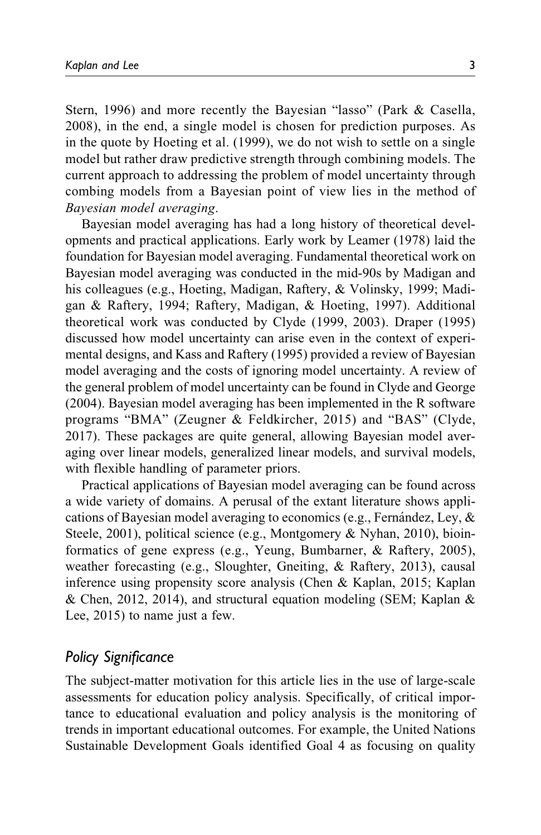Stern, 1996) and more recently the Bayesian "lasso" (Park & Casella, 2008), in the end, a single model is chosen for prediction purposes. As in the quote by Hoeting et al. (1999), we do not wish to settle on a single model but rather draw predictive strength through combining models. The current approach to addressing the problem of model uncertainty through combing models from a Bayesian point of view lies in the method of Bayesian model averaging.

Bayesian model averaging has had a long history of theoretical developments and practical applications. Early work by Leamer (1978) laid the foundation for Bayesian model averaging. Fundamental theoretical work on Bayesian model averaging was conducted in the mid-90s by Madigan and his colleagues (e.g., Hoeting, Madigan, Raftery, & Volinsky, 1999; Madigan & Raftery, 1994; Raftery, Madigan, & Hoeting, 1997). Additional theoretical work was conducted by Clyde (1999, 2003). Draper (1995) discussed how model uncertainty can arise even in the context of experimental designs, and Kass and Raftery (1995) provided a review of Bayesian model averaging and the costs of ignoring model uncertainty. A review of the general problem of model uncertainty can be found in Clyde and George (2004). Bayesian model averaging has been implemented in the R software programs "BMA" (Zeugner & Feldkircher, 2015) and "BAS" (Clyde, 2017). These packages are quite general, allowing Bayesian model averaging over linear models, generalized linear models, and survival models, with flexible handling of parameter priors.

Practical applications of Bayesian model averaging can be found across a wide variety of domains. A perusal of the extant literature shows applications of Bayesian model averaging to economics (e.g., Fernández, Ley, & Steele, 2001), political science (e.g., Montgomery & Nyhan, 2010), bioinformatics of gene express (e.g., Yeung, Bumbarner, & Raftery, 2005), weather forecasting (e.g., Sloughter, Gneiting, & Raftery, 2013), causal inference using propensity score analysis (Chen & Kaplan, 2015; Kaplan & Chen, 2012, 2014), and structural equation modeling (SEM; Kaplan & Lee, 2015) to name just a few.

## Policy Significance

The subject-matter motivation for this article lies in the use of large-scale assessments for education policy analysis. Specifically, of critical importance to educational evaluation and policy analysis is the monitoring of trends in important educational outcomes. For example, the United Nations Sustainable Development Goals identified Goal 4 as focusing on quality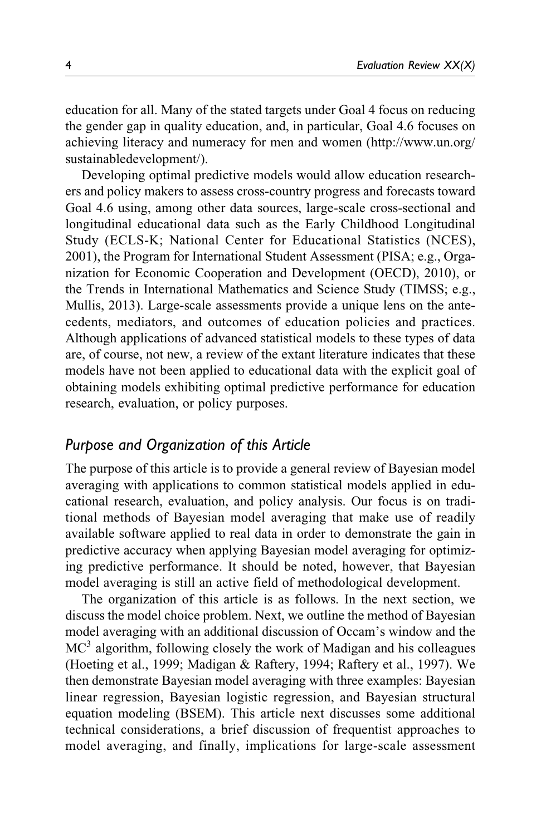education for all. Many of the stated targets under Goal 4 focus on reducing the gender gap in quality education, and, in particular, Goal 4.6 focuses on achieving literacy and numeracy for men and women ([http://www.un.org/](http://www.un.org/sustainabledevelopment/) [sustainabledevelopment/\)](http://www.un.org/sustainabledevelopment/).

Developing optimal predictive models would allow education researchers and policy makers to assess cross-country progress and forecasts toward Goal 4.6 using, among other data sources, large-scale cross-sectional and longitudinal educational data such as the Early Childhood Longitudinal Study (ECLS-K; National Center for Educational Statistics (NCES), 2001), the Program for International Student Assessment (PISA; e.g., Organization for Economic Cooperation and Development (OECD), 2010), or the Trends in International Mathematics and Science Study (TIMSS; e.g., Mullis, 2013). Large-scale assessments provide a unique lens on the antecedents, mediators, and outcomes of education policies and practices. Although applications of advanced statistical models to these types of data are, of course, not new, a review of the extant literature indicates that these models have not been applied to educational data with the explicit goal of obtaining models exhibiting optimal predictive performance for education research, evaluation, or policy purposes.

## Purpose and Organization of this Article

The purpose of this article is to provide a general review of Bayesian model averaging with applications to common statistical models applied in educational research, evaluation, and policy analysis. Our focus is on traditional methods of Bayesian model averaging that make use of readily available software applied to real data in order to demonstrate the gain in predictive accuracy when applying Bayesian model averaging for optimizing predictive performance. It should be noted, however, that Bayesian model averaging is still an active field of methodological development.

The organization of this article is as follows. In the next section, we discuss the model choice problem. Next, we outline the method of Bayesian model averaging with an additional discussion of Occam's window and the  $MC<sup>3</sup>$  algorithm, following closely the work of Madigan and his colleagues (Hoeting et al., 1999; Madigan & Raftery, 1994; Raftery et al., 1997). We then demonstrate Bayesian model averaging with three examples: Bayesian linear regression, Bayesian logistic regression, and Bayesian structural equation modeling (BSEM). This article next discusses some additional technical considerations, a brief discussion of frequentist approaches to model averaging, and finally, implications for large-scale assessment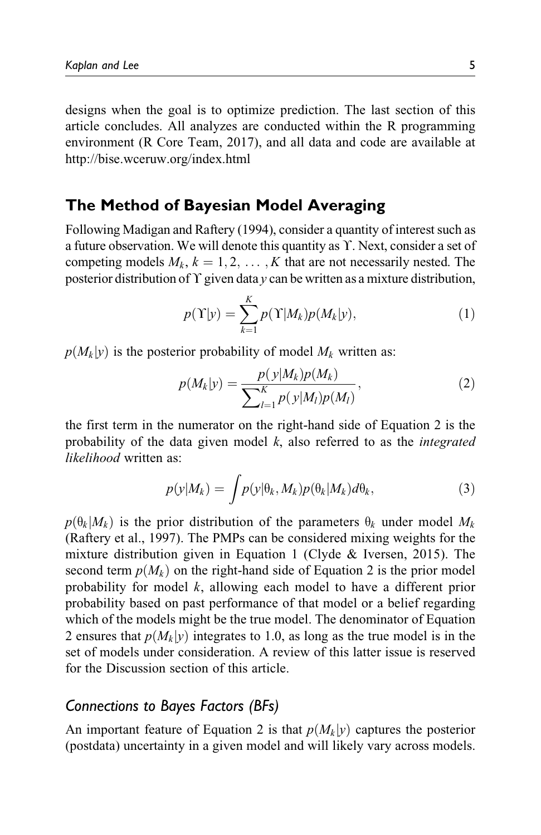designs when the goal is to optimize prediction. The last section of this article concludes. All analyzes are conducted within the R programming environment (R Core Team, 2017), and all data and code are available at <http://bise.wceruw.org/index.html>

## The Method of Bayesian Model Averaging

Following Madigan and Raftery (1994), consider a quantity of interest such as a future observation. We will denote this quantity as  $\Upsilon$ . Next, consider a set of competing models  $M_k$ ,  $k = 1, 2, \ldots, K$  that are not necessarily nested. The posterior distribution of  $\Upsilon$  given data y can be written as a mixture distribution,

$$
p(\Upsilon|y) = \sum_{k=1}^{K} p(\Upsilon|M_k)p(M_k|y), \qquad (1)
$$

 $p(M_k|y)$  is the posterior probability of model  $M_k$  written as:

$$
p(M_k|y) = \frac{p(y|M_k)p(M_k)}{\sum_{l=1}^{K} p(y|M_l)p(M_l)},
$$
\n(2)

the first term in the numerator on the right-hand side of Equation 2 is the probability of the data given model  $k$ , also referred to as the *integrated* likelihood written as:

$$
p(y|M_k) = \int p(y|\theta_k, M_k) p(\theta_k|M_k) d\theta_k, \qquad (3)
$$

 $p(\theta_k|M_k)$  is the prior distribution of the parameters  $\theta_k$  under model  $M_k$ (Raftery et al., 1997). The PMPs can be considered mixing weights for the mixture distribution given in Equation 1 (Clyde & Iversen, 2015). The second term  $p(M_k)$  on the right-hand side of Equation 2 is the prior model probability for model  $k$ , allowing each model to have a different prior probability based on past performance of that model or a belief regarding which of the models might be the true model. The denominator of Equation 2 ensures that  $p(M_k|y)$  integrates to 1.0, as long as the true model is in the set of models under consideration. A review of this latter issue is reserved for the Discussion section of this article.

#### Connections to Bayes Factors (BFs)

An important feature of Equation 2 is that  $p(M_k|y)$  captures the posterior (postdata) uncertainty in a given model and will likely vary across models.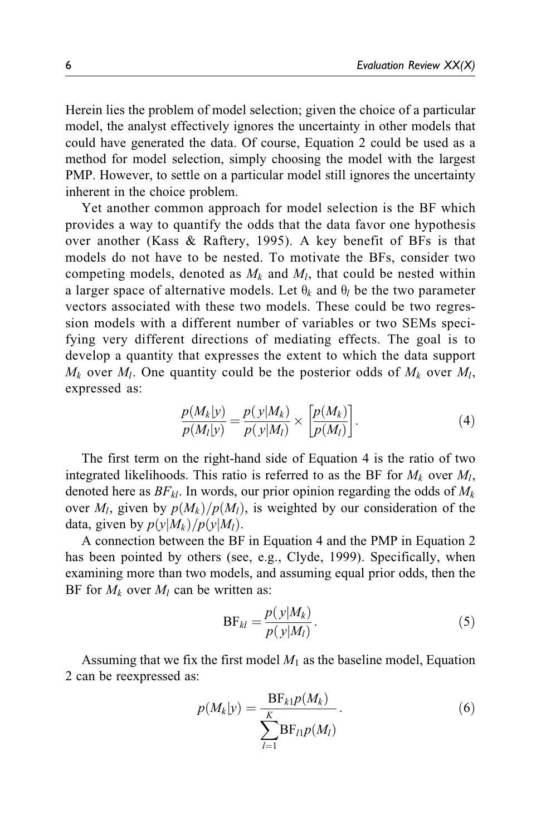Herein lies the problem of model selection; given the choice of a particular model, the analyst effectively ignores the uncertainty in other models that could have generated the data. Of course, Equation 2 could be used as a method for model selection, simply choosing the model with the largest PMP. However, to settle on a particular model still ignores the uncertainty inherent in the choice problem.

Yet another common approach for model selection is the BF which provides a way to quantify the odds that the data favor one hypothesis over another (Kass & Raftery, 1995). A key benefit of BFs is that models do not have to be nested. To motivate the BFs, consider two competing models, denoted as  $M_k$  and  $M_l$ , that could be nested within a larger space of alternative models. Let  $\theta_k$  and  $\theta_l$  be the two parameter vectors associated with these two models. These could be two regression models with a different number of variables or two SEMs specifying very different directions of mediating effects. The goal is to develop a quantity that expresses the extent to which the data support  $M_k$  over  $M_l$ . One quantity could be the posterior odds of  $M_k$  over  $M_l$ , expressed as:

$$
\frac{p(M_k|y)}{p(M_l|y)} = \frac{p(y|M_k)}{p(y|M_l)} \times \left[\frac{p(M_k)}{p(M_l)}\right].
$$
\n(4)

The first term on the right-hand side of Equation 4 is the ratio of two integrated likelihoods. This ratio is referred to as the BF for  $M_k$  over  $M_l$ , denoted here as  $BF_{kl}$ . In words, our prior opinion regarding the odds of  $M_k$ over  $M_l$ , given by  $p(M_k)/p(M_l)$ , is weighted by our consideration of the data, given by  $p(y|M_k)/p(y|M_l)$ .

A connection between the BF in Equation 4 and the PMP in Equation 2 has been pointed by others (see, e.g., Clyde, 1999). Specifically, when examining more than two models, and assuming equal prior odds, then the BF for  $M_k$  over  $M_l$  can be written as:

$$
BF_{kl} = \frac{p(y|M_k)}{p(y|M_l)}.
$$
\n(5)

Assuming that we fix the first model  $M_1$  as the baseline model, Equation 2 can be reexpressed as:

$$
p(M_k|y) = \frac{\text{BF}_{k1}p(M_k)}{\sum_{l=1}^{K} \text{BF}_{l1}p(M_l)}.
$$
 (6)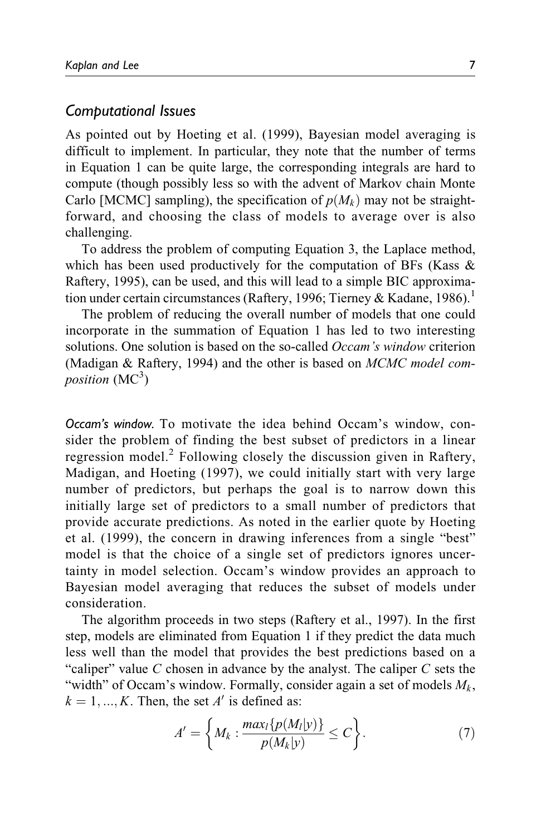# Computational Issues

As pointed out by Hoeting et al. (1999), Bayesian model averaging is difficult to implement. In particular, they note that the number of terms in Equation 1 can be quite large, the corresponding integrals are hard to compute (though possibly less so with the advent of Markov chain Monte Carlo [MCMC] sampling), the specification of  $p(M_k)$  may not be straightforward, and choosing the class of models to average over is also challenging.

To address the problem of computing Equation 3, the Laplace method, which has been used productively for the computation of BFs (Kass & Raftery, 1995), can be used, and this will lead to a simple BIC approximation under certain circumstances (Raftery, 1996; Tierney & Kadane, 1986).<sup>1</sup>

The problem of reducing the overall number of models that one could incorporate in the summation of Equation 1 has led to two interesting solutions. One solution is based on the so-called *Occam's window* criterion (Madigan & Raftery, 1994) and the other is based on MCMC model composition  $(MC<sup>3</sup>)$ 

Occam's window. To motivate the idea behind Occam's window, consider the problem of finding the best subset of predictors in a linear regression model.<sup>2</sup> Following closely the discussion given in Raftery, Madigan, and Hoeting (1997), we could initially start with very large number of predictors, but perhaps the goal is to narrow down this initially large set of predictors to a small number of predictors that provide accurate predictions. As noted in the earlier quote by Hoeting et al. (1999), the concern in drawing inferences from a single "best" model is that the choice of a single set of predictors ignores uncertainty in model selection. Occam's window provides an approach to Bayesian model averaging that reduces the subset of models under consideration.

The algorithm proceeds in two steps (Raftery et al., 1997). In the first step, models are eliminated from Equation 1 if they predict the data much less well than the model that provides the best predictions based on a "caliper" value  $C$  chosen in advance by the analyst. The caliper  $C$  sets the "width" of Occam's window. Formally, consider again a set of models  $M_k$ ,  $k = 1, ..., K$ . Then, the set A' is defined as:

$$
A' = \left\{ M_k : \frac{\max_l \{p(M_l|\mathbf{y})\}}{p(M_k|\mathbf{y})} \le C \right\}.
$$
 (7)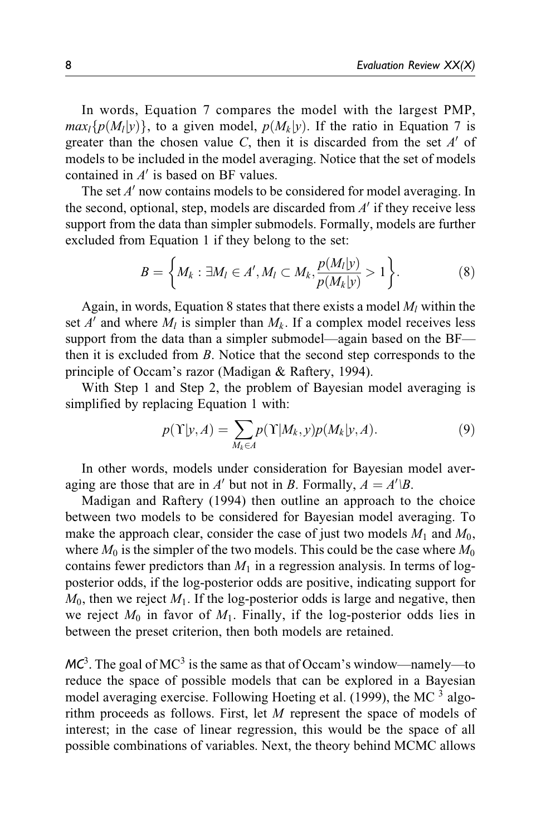In words, Equation 7 compares the model with the largest PMP,  $max_l{p(M_l|y)}$ , to a given model,  $p(M_k|y)$ . If the ratio in Equation 7 is greater than the chosen value C, then it is discarded from the set  $A'$  of models to be included in the model averaging. Notice that the set of models contained in  $A'$  is based on BF values.

The set  $A'$  now contains models to be considered for model averaging. In the second, optional, step, models are discarded from  $A'$  if they receive less support from the data than simpler submodels. Formally, models are further excluded from Equation 1 if they belong to the set:

$$
B = \left\{ M_k : \exists M_l \in A', M_l \subset M_k, \frac{p(M_l|\mathbf{y})}{p(M_k|\mathbf{y})} > 1 \right\}.
$$
 (8)

Again, in words, Equation 8 states that there exists a model  $M_l$  within the set  $A'$  and where  $M_l$  is simpler than  $M_k$ . If a complex model receives less support from the data than a simpler submodel—again based on the BF then it is excluded from B. Notice that the second step corresponds to the principle of Occam's razor (Madigan & Raftery, 1994).

With Step 1 and Step 2, the problem of Bayesian model averaging is simplified by replacing Equation 1 with:

$$
p(\Upsilon|y,A) = \sum_{M_k \in A} p(\Upsilon|M_k, y)p(M_k|y,A). \tag{9}
$$

In other words, models under consideration for Bayesian model averaging are those that are in A' but not in B. Formally,  $A = A'|B$ .

Madigan and Raftery (1994) then outline an approach to the choice between two models to be considered for Bayesian model averaging. To make the approach clear, consider the case of just two models  $M_1$  and  $M_0$ , where  $M_0$  is the simpler of the two models. This could be the case where  $M_0$ contains fewer predictors than  $M_1$  in a regression analysis. In terms of logposterior odds, if the log-posterior odds are positive, indicating support for  $M_0$ , then we reject  $M_1$ . If the log-posterior odds is large and negative, then we reject  $M_0$  in favor of  $M_1$ . Finally, if the log-posterior odds lies in between the preset criterion, then both models are retained.

 $MC<sup>3</sup>$ . The goal of MC<sup>3</sup> is the same as that of Occam's window—namely—to reduce the space of possible models that can be explored in a Bayesian model averaging exercise. Following Hoeting et al. (1999), the MC  $3$  algorithm proceeds as follows. First, let M represent the space of models of interest; in the case of linear regression, this would be the space of all possible combinations of variables. Next, the theory behind MCMC allows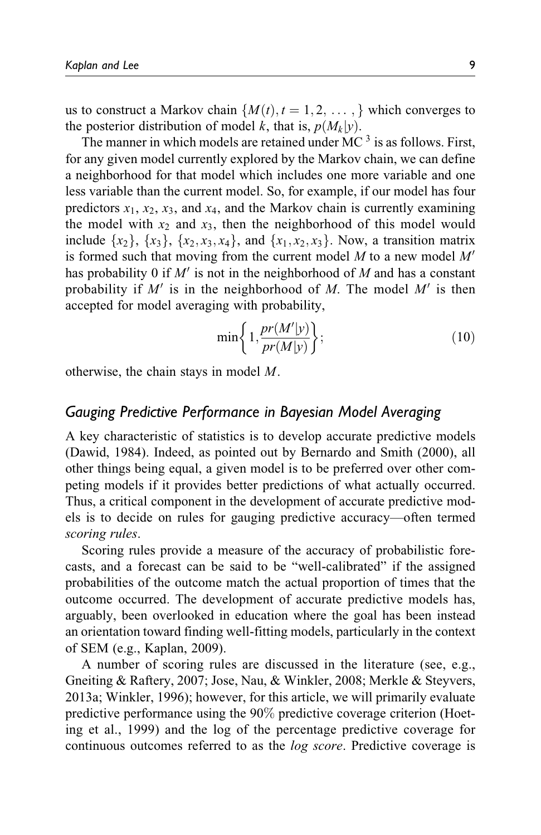us to construct a Markov chain  $\{M(t), t = 1, 2, \ldots, \}$  which converges to the posterior distribution of model k, that is,  $p(M_k|y)$ .

The manner in which models are retained under MC  $3$  is as follows. First, for any given model currently explored by the Markov chain, we can define a neighborhood for that model which includes one more variable and one less variable than the current model. So, for example, if our model has four predictors  $x_1, x_2, x_3$ , and  $x_4$ , and the Markov chain is currently examining the model with  $x_2$  and  $x_3$ , then the neighborhood of this model would include  $\{x_2\}$ ,  $\{x_3\}$ ,  $\{x_2, x_3, x_4\}$ , and  $\{x_1, x_2, x_3\}$ . Now, a transition matrix is formed such that moving from the current model  $M$  to a new model  $M'$ has probability 0 if  $M'$  is not in the neighborhood of M and has a constant probability if  $M'$  is in the neighborhood of M. The model  $M'$  is then accepted for model averaging with probability,

$$
\min\left\{1,\frac{pr(M'|y)}{pr(M|y)}\right\};\tag{10}
$$

otherwise, the chain stays in model M.

#### Gauging Predictive Performance in Bayesian Model Averaging

A key characteristic of statistics is to develop accurate predictive models (Dawid, 1984). Indeed, as pointed out by Bernardo and Smith (2000), all other things being equal, a given model is to be preferred over other competing models if it provides better predictions of what actually occurred. Thus, a critical component in the development of accurate predictive models is to decide on rules for gauging predictive accuracy—often termed scoring rules.

Scoring rules provide a measure of the accuracy of probabilistic forecasts, and a forecast can be said to be "well-calibrated" if the assigned probabilities of the outcome match the actual proportion of times that the outcome occurred. The development of accurate predictive models has, arguably, been overlooked in education where the goal has been instead an orientation toward finding well-fitting models, particularly in the context of SEM (e.g., Kaplan, 2009).

A number of scoring rules are discussed in the literature (see, e.g., Gneiting & Raftery, 2007; Jose, Nau, & Winkler, 2008; Merkle & Steyvers, 2013a; Winkler, 1996); however, for this article, we will primarily evaluate predictive performance using the 90% predictive coverage criterion (Hoeting et al., 1999) and the log of the percentage predictive coverage for continuous outcomes referred to as the log score. Predictive coverage is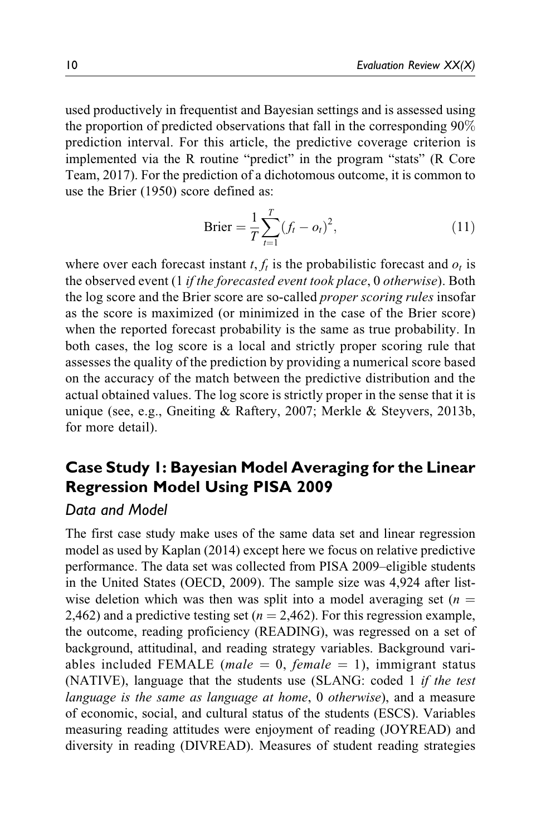used productively in frequentist and Bayesian settings and is assessed using the proportion of predicted observations that fall in the corresponding 90% prediction interval. For this article, the predictive coverage criterion is implemented via the R routine "predict" in the program "stats" (R Core Team, 2017). For the prediction of a dichotomous outcome, it is common to use the Brier (1950) score defined as:

$$
Brier = \frac{1}{T} \sum_{t=1}^{T} (f_t - o_t)^2,
$$
\n(11)

where over each forecast instant  $t, f_t$  is the probabilistic forecast and  $o_t$  is the observed event (1 if the forecasted event took place, 0 otherwise). Both the log score and the Brier score are so-called proper scoring rules insofar as the score is maximized (or minimized in the case of the Brier score) when the reported forecast probability is the same as true probability. In both cases, the log score is a local and strictly proper scoring rule that assesses the quality of the prediction by providing a numerical score based on the accuracy of the match between the predictive distribution and the actual obtained values. The log score is strictly proper in the sense that it is unique (see, e.g., Gneiting & Raftery, 2007; Merkle & Steyvers, 2013b, for more detail).

# Case Study 1: Bayesian Model Averaging for the Linear Regression Model Using PISA 2009

## Data and Model

The first case study make uses of the same data set and linear regression model as used by Kaplan (2014) except here we focus on relative predictive performance. The data set was collected from PISA 2009–eligible students in the United States (OECD, 2009). The sample size was 4,924 after listwise deletion which was then was split into a model averaging set ( $n =$ 2,462) and a predictive testing set ( $n = 2,462$ ). For this regression example, the outcome, reading proficiency (READING), was regressed on a set of background, attitudinal, and reading strategy variables. Background variables included FEMALE (male = 0, female = 1), immigrant status (NATIVE), language that the students use (SLANG: coded 1 if the test language is the same as language at home, 0 otherwise), and a measure of economic, social, and cultural status of the students (ESCS). Variables measuring reading attitudes were enjoyment of reading (JOYREAD) and diversity in reading (DIVREAD). Measures of student reading strategies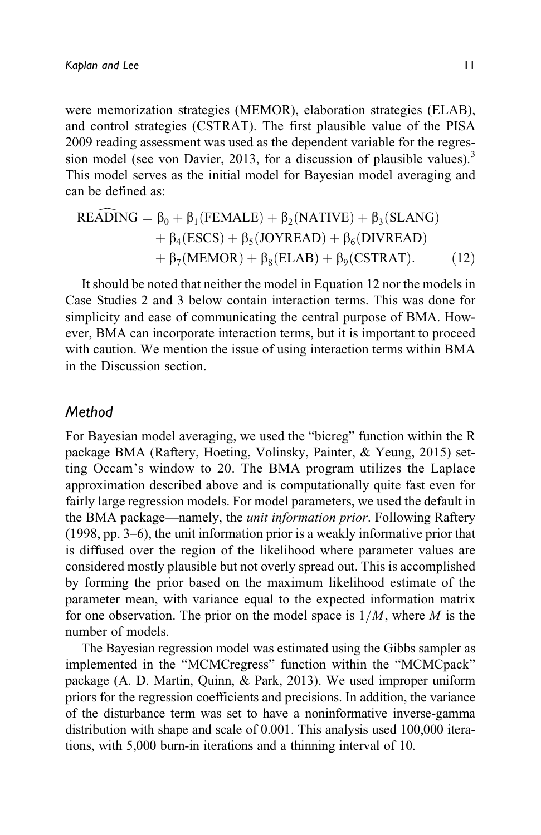were memorization strategies (MEMOR), elaboration strategies (ELAB), and control strategies (CSTRAT). The first plausible value of the PISA 2009 reading assessment was used as the dependent variable for the regression model (see von Davier, 2013, for a discussion of plausible values).<sup>3</sup> This model serves as the initial model for Bayesian model averaging and can be defined as:

READING = 
$$
β_0 + β_1(FEMALE) + β_2(NATIVE) + β_3(SLAND)
$$
  
+  $β_4(ESCS) + β_5(JOYREAD) + β_6(DIVREAD)$   
+  $β_7(MEMOR) + β_8(ELAB) + β_9(CSTRAT)$ . (12)

It should be noted that neither the model in Equation 12 nor the models in Case Studies 2 and 3 below contain interaction terms. This was done for simplicity and ease of communicating the central purpose of BMA. However, BMA can incorporate interaction terms, but it is important to proceed with caution. We mention the issue of using interaction terms within BMA in the Discussion section.

#### Method

For Bayesian model averaging, we used the "bicreg" function within the R package BMA (Raftery, Hoeting, Volinsky, Painter, & Yeung, 2015) setting Occam's window to 20. The BMA program utilizes the Laplace approximation described above and is computationally quite fast even for fairly large regression models. For model parameters, we used the default in the BMA package—namely, the unit information prior. Following Raftery (1998, pp. 3–6), the unit information prior is a weakly informative prior that is diffused over the region of the likelihood where parameter values are considered mostly plausible but not overly spread out. This is accomplished by forming the prior based on the maximum likelihood estimate of the parameter mean, with variance equal to the expected information matrix for one observation. The prior on the model space is  $1/M$ , where M is the number of models.

The Bayesian regression model was estimated using the Gibbs sampler as implemented in the "MCMCregress" function within the "MCMCpack" package (A. D. Martin, Quinn, & Park, 2013). We used improper uniform priors for the regression coefficients and precisions. In addition, the variance of the disturbance term was set to have a noninformative inverse-gamma distribution with shape and scale of 0.001. This analysis used 100,000 iterations, with 5,000 burn-in iterations and a thinning interval of 10.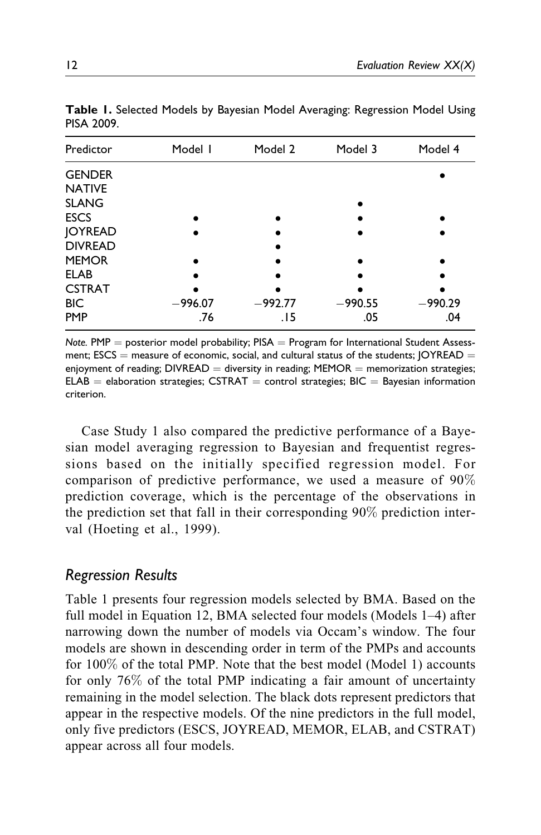| Predictor      | Model I   | Model 2   | Model 3   | Model 4   |
|----------------|-----------|-----------|-----------|-----------|
| <b>GENDER</b>  |           |           |           |           |
| <b>NATIVE</b>  |           |           |           |           |
| <b>SLANG</b>   |           |           |           |           |
| <b>ESCS</b>    |           |           |           |           |
| <b>JOYREAD</b> |           |           |           |           |
| <b>DIVREAD</b> |           |           |           |           |
| <b>MEMOR</b>   |           |           |           |           |
| <b>ELAB</b>    |           |           |           |           |
| <b>CSTRAT</b>  |           |           |           |           |
| <b>BIC</b>     | $-996.07$ | $-992.77$ | $-990.55$ | $-990.29$ |
| <b>PMP</b>     | .76       | 15.       | .05       | .04       |

Table 1. Selected Models by Bayesian Model Averaging: Regression Model Using PISA 2009.

Note. PMP  $=$  posterior model probability; PISA  $=$  Program for International Student Assessment; ESCS  $=$  measure of economic, social, and cultural status of the students; JOYREAD  $=$ enjoyment of reading; DIVREAD = diversity in reading; MEMOR = memorization strategies;  $ELAB =$  elaboration strategies; CSTRAT = control strategies; BIC = Bayesian information criterion.

Case Study 1 also compared the predictive performance of a Bayesian model averaging regression to Bayesian and frequentist regressions based on the initially specified regression model. For comparison of predictive performance, we used a measure of 90% prediction coverage, which is the percentage of the observations in the prediction set that fall in their corresponding 90% prediction interval (Hoeting et al., 1999).

# Regression Results

Table 1 presents four regression models selected by BMA. Based on the full model in Equation 12, BMA selected four models (Models 1–4) after narrowing down the number of models via Occam's window. The four models are shown in descending order in term of the PMPs and accounts for 100% of the total PMP. Note that the best model (Model 1) accounts for only 76% of the total PMP indicating a fair amount of uncertainty remaining in the model selection. The black dots represent predictors that appear in the respective models. Of the nine predictors in the full model, only five predictors (ESCS, JOYREAD, MEMOR, ELAB, and CSTRAT) appear across all four models.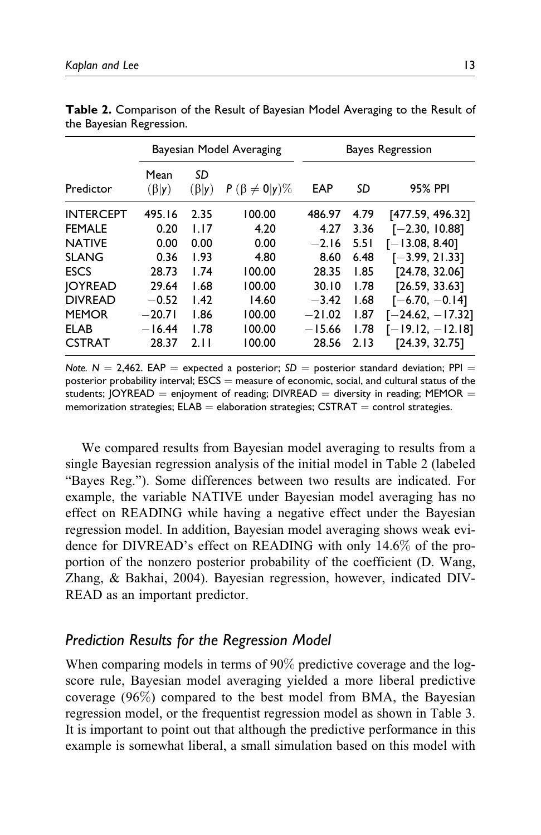|                  |                     | Bayesian Model Averaging |                       |          | <b>Bayes Regression</b> |                    |  |
|------------------|---------------------|--------------------------|-----------------------|----------|-------------------------|--------------------|--|
| Predictor        | Mean<br>$(\beta y)$ | SD<br>$(\beta y)$        | $P(\beta \neq 0 y)$ % | EAP      | SD                      | <b>95% PPI</b>     |  |
| <b>INTERCEPT</b> | 495.16              | 2.35                     | 100.00                | 486.97   | 4.79                    | [477.59, 496.32]   |  |
| <b>FEMALE</b>    | 0.20                | 1.17                     | 4.20                  | 4.27     | 3.36                    | $[-2.30, 10.88]$   |  |
| <b>NATIVE</b>    | 0.00                | 0.00                     | 0.00                  | $-2.16$  | 5.51                    | $[-13.08, 8.40]$   |  |
| <b>SLANG</b>     | 0.36                | 1.93                     | 4.80                  | 8.60     | 6.48                    | $[-3.99, 21.33]$   |  |
| <b>ESCS</b>      | 28.73               | 1.74                     | 100.00                | 28.35    | 1.85                    | [24.78, 32.06]     |  |
| <b>JOYREAD</b>   | 29.64               | 1.68                     | 100.00                | 30.10    | 1.78                    | [26.59, 33.63]     |  |
| <b>DIVREAD</b>   | $-0.52$             | 1.42                     | 14.60                 | $-3.42$  | 1.68                    | $[-6.70, -0.14]$   |  |
| <b>MEMOR</b>     | $-20.71$            | 1.86                     | 100.00                | $-21.02$ | 1.87                    | $[-24.62, -17.32]$ |  |
| <b>ELAB</b>      | $-16.44$            | 1.78                     | 100.00                | $-15.66$ | 1.78                    | $[-19.12, -12.18]$ |  |
| <b>CSTRAT</b>    | 28.37               | 2.11                     | 100.00                | 28.56    | 2.13                    | [24.39, 32.75]     |  |

Table 2. Comparison of the Result of Bayesian Model Averaging to the Result of the Bayesian Regression.

Note. N = 2,462. EAP = expected a posterior;  $SD =$  posterior standard deviation; PPI = posterior probability interval;  $ESS =$  measure of economic, social, and cultural status of the students; JOYREAD = enjoyment of reading; DIVREAD = diversity in reading; MEMOR = memorization strategies;  $ELAB =$  elaboration strategies;  $CSTRAT =$  control strategies.

We compared results from Bayesian model averaging to results from a single Bayesian regression analysis of the initial model in Table 2 (labeled "Bayes Reg."). Some differences between two results are indicated. For example, the variable NATIVE under Bayesian model averaging has no effect on READING while having a negative effect under the Bayesian regression model. In addition, Bayesian model averaging shows weak evidence for DIVREAD's effect on READING with only 14.6% of the proportion of the nonzero posterior probability of the coefficient (D. Wang, Zhang, & Bakhai, 2004). Bayesian regression, however, indicated DIV-READ as an important predictor.

## Prediction Results for the Regression Model

When comparing models in terms of 90% predictive coverage and the logscore rule, Bayesian model averaging yielded a more liberal predictive coverage (96%) compared to the best model from BMA, the Bayesian regression model, or the frequentist regression model as shown in Table 3. It is important to point out that although the predictive performance in this example is somewhat liberal, a small simulation based on this model with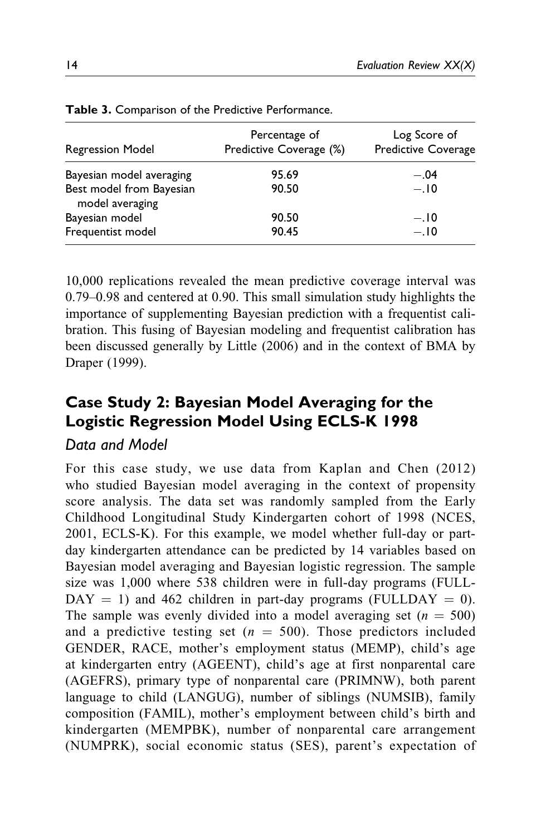| <b>Regression Model</b>                     | Percentage of<br>Predictive Coverage (%) | Log Score of<br><b>Predictive Coverage</b> |
|---------------------------------------------|------------------------------------------|--------------------------------------------|
| Bayesian model averaging                    | 95.69                                    | $-.04$                                     |
| Best model from Bayesian<br>model averaging | 90.50                                    | $-.10$                                     |
| Bayesian model                              | 90.50                                    | $-.10$                                     |
| Frequentist model                           | 90.45                                    | $-.10$                                     |

Table 3. Comparison of the Predictive Performance.

10,000 replications revealed the mean predictive coverage interval was 0.79–0.98 and centered at 0.90. This small simulation study highlights the importance of supplementing Bayesian prediction with a frequentist calibration. This fusing of Bayesian modeling and frequentist calibration has been discussed generally by Little (2006) and in the context of BMA by Draper (1999).

# Case Study 2: Bayesian Model Averaging for the Logistic Regression Model Using ECLS-K 1998

# Data and Model

For this case study, we use data from Kaplan and Chen (2012) who studied Bayesian model averaging in the context of propensity score analysis. The data set was randomly sampled from the Early Childhood Longitudinal Study Kindergarten cohort of 1998 (NCES, 2001, ECLS-K). For this example, we model whether full-day or partday kindergarten attendance can be predicted by 14 variables based on Bayesian model averaging and Bayesian logistic regression. The sample size was 1,000 where 538 children were in full-day programs (FULL- $DAY = 1$ ) and 462 children in part-day programs (FULLDAY = 0). The sample was evenly divided into a model averaging set ( $n = 500$ ) and a predictive testing set ( $n = 500$ ). Those predictors included GENDER, RACE, mother's employment status (MEMP), child's age at kindergarten entry (AGEENT), child's age at first nonparental care (AGEFRS), primary type of nonparental care (PRIMNW), both parent language to child (LANGUG), number of siblings (NUMSIB), family composition (FAMIL), mother's employment between child's birth and kindergarten (MEMPBK), number of nonparental care arrangement (NUMPRK), social economic status (SES), parent's expectation of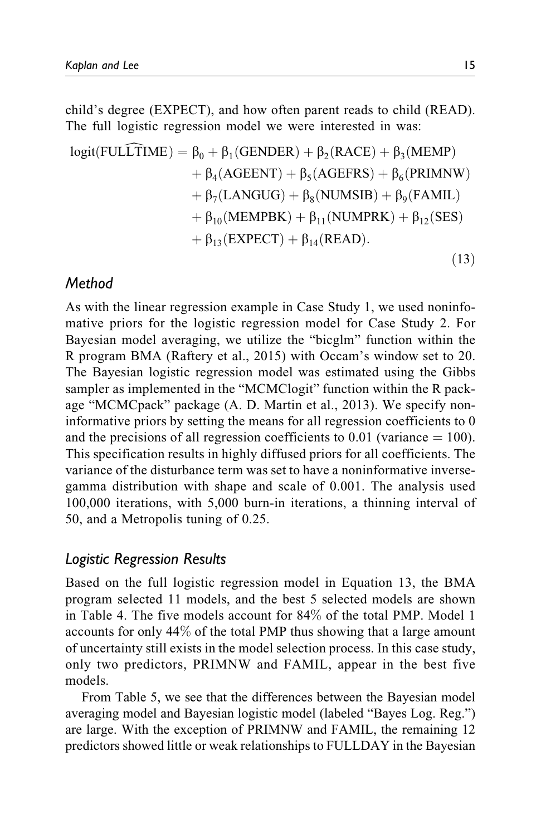child's degree (EXPECT), and how often parent reads to child (READ). The full logistic regression model we were interested in was:

$$
logit(FULLTIME) = \beta_0 + \beta_1(GENDER) + \beta_2(RACE) + \beta_3(MEMP)
$$
  
+  $\beta_4(AGEENT) + \beta_5(AGEFRS) + \beta_6(PRIMNW)$   
+  $\beta_7(LANGUG) + \beta_8(NUMSIB) + \beta_9(FAMIL)$   
+  $\beta_{10}(MEMPBK) + \beta_{11}(NUMPRK) + \beta_{12}(SES)$   
+  $\beta_{13}(EXPECT) + \beta_{14}(READ).$  (13)

## Method

As with the linear regression example in Case Study 1, we used noninfomative priors for the logistic regression model for Case Study 2. For Bayesian model averaging, we utilize the "bicglm" function within the R program BMA (Raftery et al., 2015) with Occam's window set to 20. The Bayesian logistic regression model was estimated using the Gibbs sampler as implemented in the "MCMClogit" function within the R package "MCMCpack" package (A. D. Martin et al., 2013). We specify noninformative priors by setting the means for all regression coefficients to 0 and the precisions of all regression coefficients to  $0.01$  (variance  $= 100$ ). This specification results in highly diffused priors for all coefficients. The variance of the disturbance term was set to have a noninformative inversegamma distribution with shape and scale of 0.001. The analysis used 100,000 iterations, with 5,000 burn-in iterations, a thinning interval of 50, and a Metropolis tuning of 0.25.

#### Logistic Regression Results

Based on the full logistic regression model in Equation 13, the BMA program selected 11 models, and the best 5 selected models are shown in Table 4. The five models account for 84% of the total PMP. Model 1 accounts for only 44% of the total PMP thus showing that a large amount of uncertainty still exists in the model selection process. In this case study, only two predictors, PRIMNW and FAMIL, appear in the best five models.

From Table 5, we see that the differences between the Bayesian model averaging model and Bayesian logistic model (labeled "Bayes Log. Reg.") are large. With the exception of PRIMNW and FAMIL, the remaining 12 predictors showed little or weak relationships to FULLDAY in the Bayesian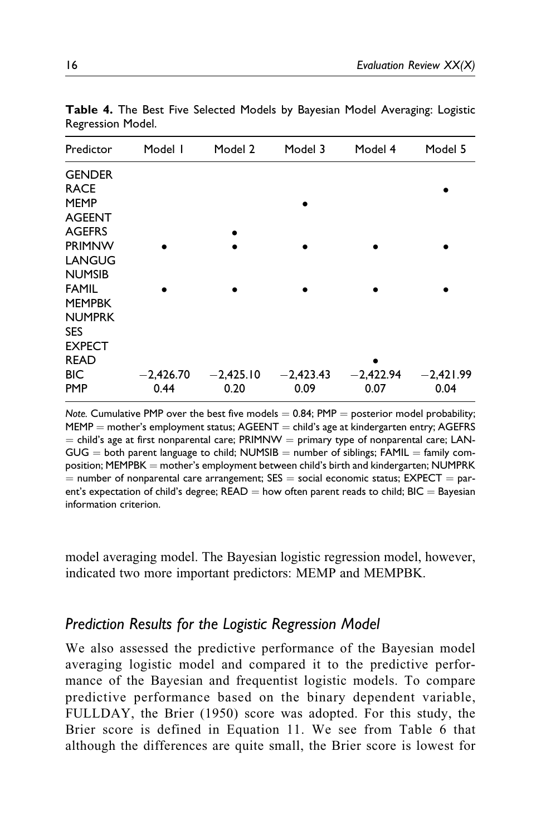| Predictor     | Model I     | Model 2     | Model 3     | Model 4     | Model 5     |
|---------------|-------------|-------------|-------------|-------------|-------------|
| <b>GENDER</b> |             |             |             |             |             |
| <b>RACE</b>   |             |             |             |             |             |
| <b>MEMP</b>   |             |             |             |             |             |
| <b>AGEENT</b> |             |             |             |             |             |
| <b>AGEFRS</b> |             |             |             |             |             |
| PRIMNW        |             |             |             |             |             |
| LANGUG        |             |             |             |             |             |
| <b>NUMSIB</b> |             |             |             |             |             |
| <b>FAMIL</b>  |             |             |             |             |             |
| <b>MEMPBK</b> |             |             |             |             |             |
| <b>NUMPRK</b> |             |             |             |             |             |
| <b>SES</b>    |             |             |             |             |             |
| <b>EXPECT</b> |             |             |             |             |             |
| <b>READ</b>   |             |             |             |             |             |
| <b>BIC</b>    | $-2,426.70$ | $-2,425.10$ | $-2,423.43$ | $-2,422.94$ | $-2,421.99$ |
| <b>PMP</b>    | 0.44        | 0.20        | 0.09        | 0.07        | 0.04        |

Table 4. The Best Five Selected Models by Bayesian Model Averaging: Logistic Regression Model.

Note. Cumulative PMP over the best five models  $= 0.84$ ; PMP  $=$  posterior model probability;  $MEMP = mother's employment status; AGEENT = child's age at kindergarten entry; AGEERS$  $=$  child's age at first nonparental care; PRIMNW  $=$  primary type of nonparental care; LAN- $GUG =$  both parent language to child; NUMSIB = number of siblings; FAMIL = family composition; MEMPBK  $=$  mother's employment between child's birth and kindergarten; NUMPRK  $=$  number of nonparental care arrangement; SES  $=$  social economic status; EXPECT  $=$  parent's expectation of child's degree;  $READ =$  how often parent reads to child;  $BIC =$  Bayesian information criterion.

model averaging model. The Bayesian logistic regression model, however, indicated two more important predictors: MEMP and MEMPBK.

## Prediction Results for the Logistic Regression Model

We also assessed the predictive performance of the Bayesian model averaging logistic model and compared it to the predictive performance of the Bayesian and frequentist logistic models. To compare predictive performance based on the binary dependent variable, FULLDAY, the Brier (1950) score was adopted. For this study, the Brier score is defined in Equation 11. We see from Table 6 that although the differences are quite small, the Brier score is lowest for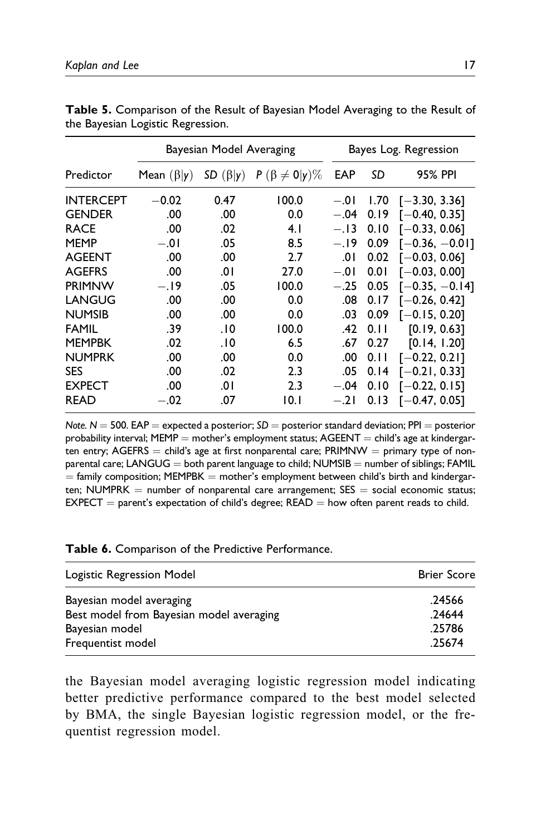|                  |                  | Bayesian Model Averaging |                       |        | Bayes Log. Regression |                  |
|------------------|------------------|--------------------------|-----------------------|--------|-----------------------|------------------|
| Predictor        | Mean $(\beta y)$ | $SD(\beta y)$            | $P(\beta \neq 0 y)\%$ | EAP    | SD                    | <b>95% PPI</b>   |
| <b>INTERCEPT</b> | $-0.02$          | 0.47                     | 100.0                 | $-.01$ | 1.70                  | $[-3.30, 3.36]$  |
| <b>GENDER</b>    | .00              | .00                      | 0.0                   | $-.04$ | 0.19                  | $[-0.40, 0.35]$  |
| <b>RACE</b>      | .00              | .02                      | 4.1                   | $-.13$ | 0.10                  | $[-0.33, 0.06]$  |
| <b>MEMP</b>      | $-.01$           | .05                      | 8.5                   | $-.19$ | 0.09                  | $[-0.36, -0.01]$ |
| <b>AGEENT</b>    | .00              | .00                      | 2.7                   | .0۱    | 0.02                  | $[-0.03, 0.06]$  |
| <b>AGEFRS</b>    | .00              | 0١.                      | 27.0                  | $-.01$ | 0.01                  | $[-0.03, 0.00]$  |
| <b>PRIMNW</b>    | $-.19$           | .05                      | 100.0                 | $-.25$ | 0.05                  | $[-0.35, -0.14]$ |
| LANGUG           | .00              | .00                      | 0.0                   | .08    | 0.17                  | $[-0.26, 0.42]$  |
| <b>NUMSIB</b>    | .00              | .00                      | 0.0                   | .03    | 0.09                  | $[-0.15, 0.20]$  |
| <b>FAMIL</b>     | .39              | 0١.                      | 100.0                 | .42    | 0.11                  | [0.19, 0.63]     |
| <b>MEMPBK</b>    | .02              | 0١.                      | 6.5                   | .67    | 0.27                  | [0.14, 1.20]     |
| <b>NUMPRK</b>    | .00              | .00                      | 0.0                   | .00    | 0.11                  | $[-0.22, 0.21]$  |
| <b>SES</b>       | .00              | .02                      | 2.3                   | .05    | 0.14                  | $[-0.21, 0.33]$  |
| <b>EXPECT</b>    | .00              | 0١.                      | 2.3                   | $-.04$ | 0.10                  | $[-0.22, 0.15]$  |
| <b>READ</b>      | $-.02$           | .07                      | 10.1                  | $-.21$ | 0.13                  | $[-0.47, 0.05]$  |

Table 5. Comparison of the Result of Bayesian Model Averaging to the Result of the Bayesian Logistic Regression.

Note. N = 500. EAP = expected a posterior;  $SD$  = posterior standard deviation; PPI = posterior probability interval; MEMP = mother's employment status;  $AGEENT = child's age at kindergar$ ten entry;  $AGEFRS = child's age at first nonparallel care; PRIMNW = primary type of non$ parental care; LANGUG  $=$  both parent language to child; NUMSIB  $=$  number of siblings; FAMIL  $=$  family composition; MEMPBK  $=$  mother's employment between child's birth and kindergarten; NUMPRK = number of nonparental care arrangement;  $SES$  = social economic status;  $EXPECT = parent's expectation of child's degree; READ = how often parent reads to child.$ 

Table **6.** Comparison of the Predictive Performance.

| Logistic Regression Model                | <b>Brier Score</b> |
|------------------------------------------|--------------------|
| Bayesian model averaging                 | .24566             |
| Best model from Bayesian model averaging | .24644             |
| Bayesian model                           | .25786             |
| Frequentist model                        | .25674             |

the Bayesian model averaging logistic regression model indicating better predictive performance compared to the best model selected by BMA, the single Bayesian logistic regression model, or the frequentist regression model.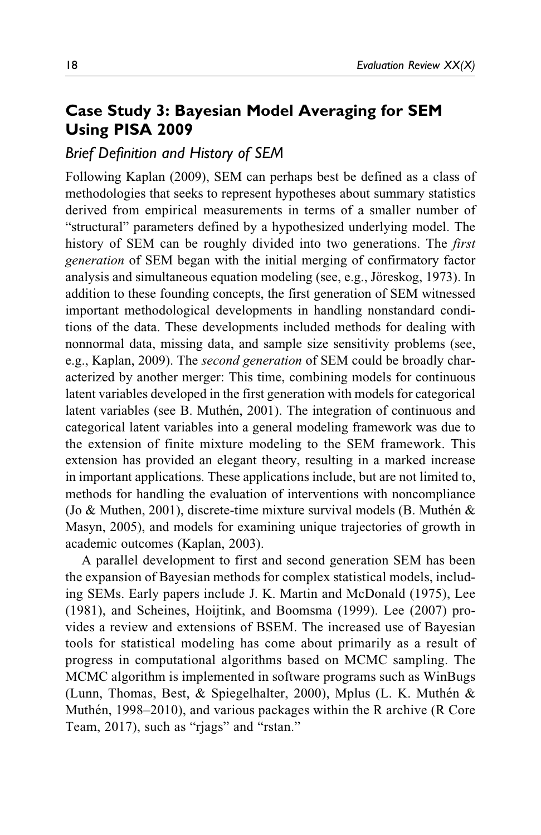# Case Study 3: Bayesian Model Averaging for SEM Using PISA 2009

## Brief Definition and History of SEM

Following Kaplan (2009), SEM can perhaps best be defined as a class of methodologies that seeks to represent hypotheses about summary statistics derived from empirical measurements in terms of a smaller number of "structural" parameters defined by a hypothesized underlying model. The history of SEM can be roughly divided into two generations. The first generation of SEM began with the initial merging of confirmatory factor analysis and simultaneous equation modeling (see, e.g., Jöreskog, 1973). In addition to these founding concepts, the first generation of SEM witnessed important methodological developments in handling nonstandard conditions of the data. These developments included methods for dealing with nonnormal data, missing data, and sample size sensitivity problems (see, e.g., Kaplan, 2009). The second generation of SEM could be broadly characterized by another merger: This time, combining models for continuous latent variables developed in the first generation with models for categorical latent variables (see B. Muthén, 2001). The integration of continuous and categorical latent variables into a general modeling framework was due to the extension of finite mixture modeling to the SEM framework. This extension has provided an elegant theory, resulting in a marked increase in important applications. These applications include, but are not limited to, methods for handling the evaluation of interventions with noncompliance (Jo & Muthen, 2001), discrete-time mixture survival models (B. Muthén  $\&$ Masyn, 2005), and models for examining unique trajectories of growth in academic outcomes (Kaplan, 2003).

A parallel development to first and second generation SEM has been the expansion of Bayesian methods for complex statistical models, including SEMs. Early papers include J. K. Martin and McDonald (1975), Lee (1981), and Scheines, Hoijtink, and Boomsma (1999). Lee (2007) provides a review and extensions of BSEM. The increased use of Bayesian tools for statistical modeling has come about primarily as a result of progress in computational algorithms based on MCMC sampling. The MCMC algorithm is implemented in software programs such as WinBugs (Lunn, Thomas, Best, & Spiegelhalter, 2000), Mplus (L. K. Muthén & Muthén, 1998–2010), and various packages within the R archive (R Core Team, 2017), such as "rjags" and "rstan."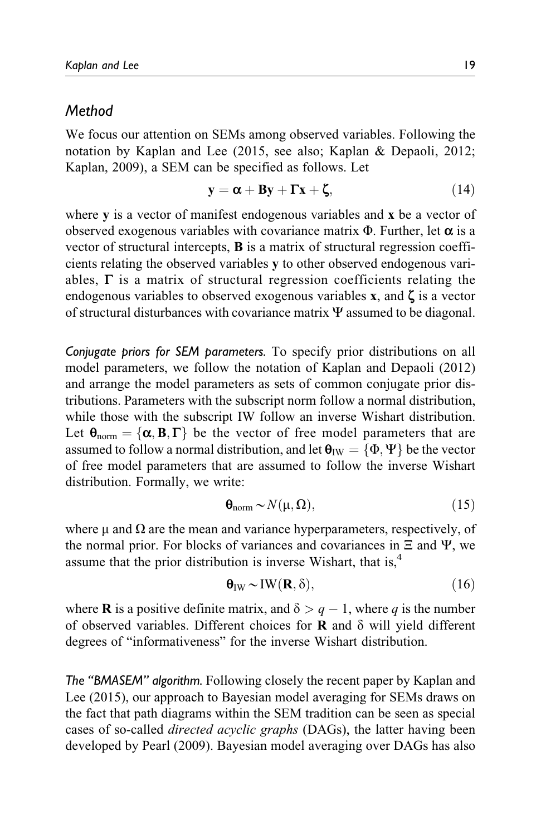#### Method

We focus our attention on SEMs among observed variables. Following the notation by Kaplan and Lee (2015, see also; Kaplan & Depaoli, 2012; Kaplan, 2009), a SEM can be specified as follows. Let

$$
y = \alpha + By + \Gamma x + \zeta, \qquad (14)
$$

where y is a vector of manifest endogenous variables and x be a vector of observed exogenous variables with covariance matrix  $\Phi$ . Further, let  $\alpha$  is a vector of structural intercepts, B is a matrix of structural regression coefficients relating the observed variables y to other observed endogenous variables,  $\Gamma$  is a matrix of structural regression coefficients relating the endogenous variables to observed exogenous variables  $x$ , and  $\zeta$  is a vector of structural disturbances with covariance matrix  $\Psi$  assumed to be diagonal.

Conjugate priors for SEM parameters. To specify prior distributions on all model parameters, we follow the notation of Kaplan and Depaoli (2012) and arrange the model parameters as sets of common conjugate prior distributions. Parameters with the subscript norm follow a normal distribution, while those with the subscript IW follow an inverse Wishart distribution. Let  $\theta_{\text{norm}} = {\alpha, \mathbf{B}, \Gamma}$  be the vector of free model parameters that are assumed to follow a normal distribution, and let  $\theta_{IW} = {\Phi, \Psi}$  be the vector of free model parameters that are assumed to follow the inverse Wishart distribution. Formally, we write:

$$
\mathbf{\Theta}_{\text{norm}} \sim N(\mu, \Omega),\tag{15}
$$

where  $\mu$  and  $\Omega$  are the mean and variance hyperparameters, respectively, of the normal prior. For blocks of variances and covariances in  $\Xi$  and  $\Psi$ , we assume that the prior distribution is inverse Wishart, that is,<sup>4</sup>

$$
\mathbf{\Theta}_{\text{IW}} \sim \text{IW}(\mathbf{R}, \delta),\tag{16}
$$

where **R** is a positive definite matrix, and  $\delta > q - 1$ , where q is the number of observed variables. Different choices for  $\bf{R}$  and  $\delta$  will yield different degrees of "informativeness" for the inverse Wishart distribution.

The "BMASEM" algorithm. Following closely the recent paper by Kaplan and Lee (2015), our approach to Bayesian model averaging for SEMs draws on the fact that path diagrams within the SEM tradition can be seen as special cases of so-called directed acyclic graphs (DAGs), the latter having been developed by Pearl (2009). Bayesian model averaging over DAGs has also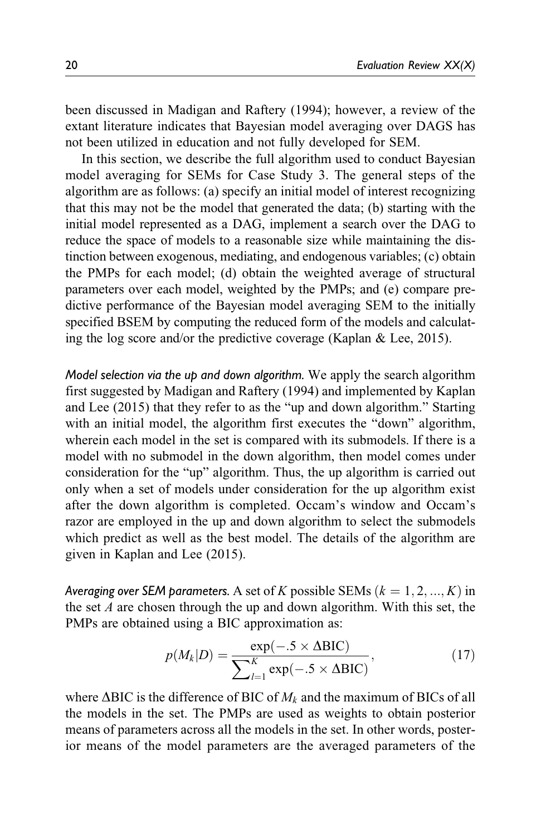been discussed in Madigan and Raftery (1994); however, a review of the extant literature indicates that Bayesian model averaging over DAGS has not been utilized in education and not fully developed for SEM.

In this section, we describe the full algorithm used to conduct Bayesian model averaging for SEMs for Case Study 3. The general steps of the algorithm are as follows: (a) specify an initial model of interest recognizing that this may not be the model that generated the data; (b) starting with the initial model represented as a DAG, implement a search over the DAG to reduce the space of models to a reasonable size while maintaining the distinction between exogenous, mediating, and endogenous variables; (c) obtain the PMPs for each model; (d) obtain the weighted average of structural parameters over each model, weighted by the PMPs; and (e) compare predictive performance of the Bayesian model averaging SEM to the initially specified BSEM by computing the reduced form of the models and calculating the log score and/or the predictive coverage (Kaplan & Lee, 2015).

Model selection via the up and down algorithm. We apply the search algorithm first suggested by Madigan and Raftery (1994) and implemented by Kaplan and Lee (2015) that they refer to as the "up and down algorithm." Starting with an initial model, the algorithm first executes the "down" algorithm, wherein each model in the set is compared with its submodels. If there is a model with no submodel in the down algorithm, then model comes under consideration for the "up" algorithm. Thus, the up algorithm is carried out only when a set of models under consideration for the up algorithm exist after the down algorithm is completed. Occam's window and Occam's razor are employed in the up and down algorithm to select the submodels which predict as well as the best model. The details of the algorithm are given in Kaplan and Lee (2015).

Averaging over SEM parameters. A set of K possible SEMs ( $k = 1, 2, ..., K$ ) in the set  $A$  are chosen through the up and down algorithm. With this set, the PMPs are obtained using a BIC approximation as:

$$
p(M_k|D) = \frac{\exp(-.5 \times \Delta BIC)}{\sum_{l=1}^{K} \exp(-.5 \times \Delta BIC)},
$$
\n(17)

where  $\triangle BIC$  is the difference of BIC of  $M_k$  and the maximum of BICs of all the models in the set. The PMPs are used as weights to obtain posterior means of parameters across all the models in the set. In other words, posterior means of the model parameters are the averaged parameters of the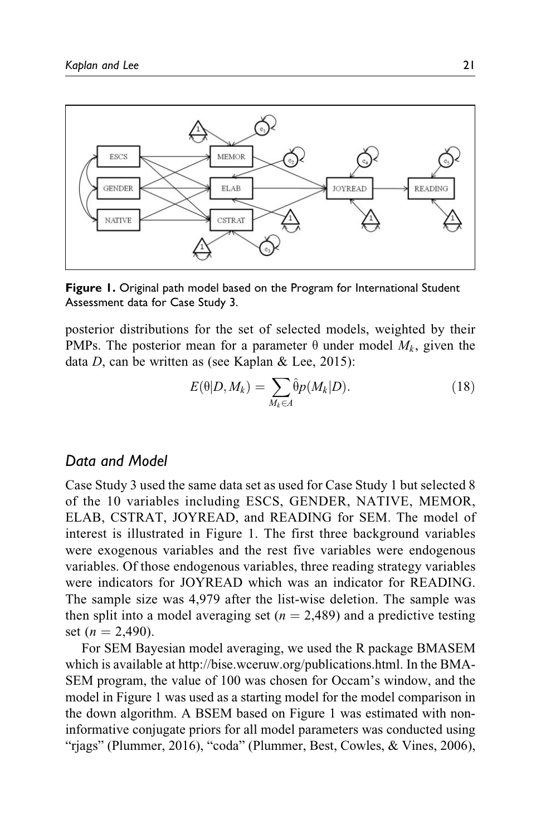

Figure 1. Original path model based on the Program for International Student Assessment data for Case Study 3.

posterior distributions for the set of selected models, weighted by their PMPs. The posterior mean for a parameter  $\theta$  under model  $M_k$ , given the data D, can be written as (see Kaplan & Lee, 2015):

$$
E(\theta|D, M_k) = \sum_{M_k \in \mathcal{A}} \hat{\theta} p(M_k|D). \tag{18}
$$

## Data and Model

Case Study 3 used the same data set as used for Case Study 1 but selected 8 of the 10 variables including ESCS, GENDER, NATIVE, MEMOR, ELAB, CSTRAT, JOYREAD, and READING for SEM. The model of interest is illustrated in Figure 1. The first three background variables were exogenous variables and the rest five variables were endogenous variables. Of those endogenous variables, three reading strategy variables were indicators for JOYREAD which was an indicator for READING. The sample size was 4,979 after the list-wise deletion. The sample was then split into a model averaging set ( $n = 2,489$ ) and a predictive testing set  $(n = 2,490)$ .

For SEM Bayesian model averaging, we used the R package BMASEM which is available at [http://bise.wceruw.org/publications.html.](http://bise.wceruw.org/publications.html) In the BMA-SEM program, the value of 100 was chosen for Occam's window, and the model in Figure 1 was used as a starting model for the model comparison in the down algorithm. A BSEM based on Figure 1 was estimated with noninformative conjugate priors for all model parameters was conducted using "rjags" (Plummer, 2016), "coda" (Plummer, Best, Cowles, & Vines, 2006),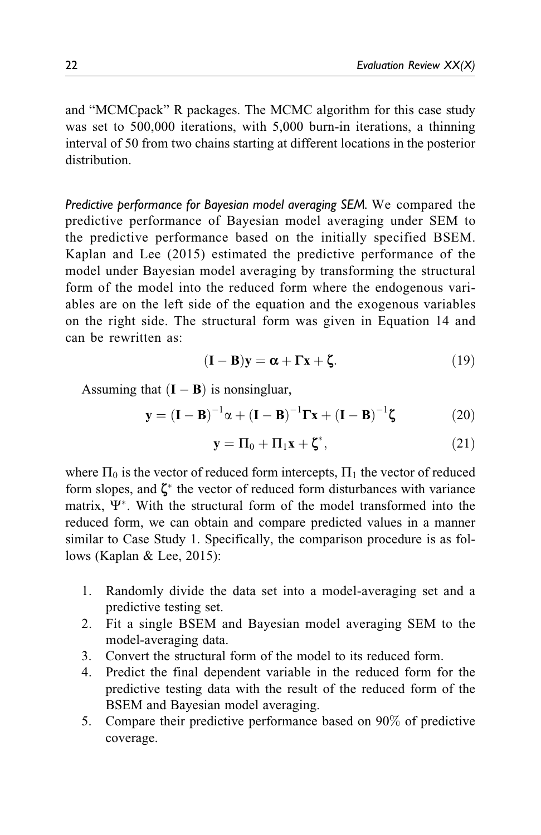and "MCMCpack" R packages. The MCMC algorithm for this case study was set to 500,000 iterations, with 5,000 burn-in iterations, a thinning interval of 50 from two chains starting at different locations in the posterior distribution.

Predictive performance for Bayesian model averaging SEM. We compared the predictive performance of Bayesian model averaging under SEM to the predictive performance based on the initially specified BSEM. Kaplan and Lee (2015) estimated the predictive performance of the model under Bayesian model averaging by transforming the structural form of the model into the reduced form where the endogenous variables are on the left side of the equation and the exogenous variables on the right side. The structural form was given in Equation 14 and can be rewritten as:

$$
(\mathbf{I} - \mathbf{B})\mathbf{y} = \boldsymbol{\alpha} + \boldsymbol{\Gamma}\mathbf{x} + \boldsymbol{\zeta}.\tag{19}
$$

Assuming that  $(I - B)$  is nonsingluar,

$$
\mathbf{y} = (\mathbf{I} - \mathbf{B})^{-1} \alpha + (\mathbf{I} - \mathbf{B})^{-1} \mathbf{\Gamma} \mathbf{x} + (\mathbf{I} - \mathbf{B})^{-1} \boldsymbol{\zeta}
$$
 (20)

$$
\mathbf{y} = \Pi_0 + \Pi_1 \mathbf{x} + \boldsymbol{\zeta}^*,\tag{21}
$$

where  $\Pi_0$  is the vector of reduced form intercepts,  $\Pi_1$  the vector of reduced form slopes, and  $\zeta^*$  the vector of reduced form disturbances with variance matrix,  $\Psi^*$ . With the structural form of the model transformed into the reduced form, we can obtain and compare predicted values in a manner similar to Case Study 1. Specifically, the comparison procedure is as follows (Kaplan & Lee, 2015):

- 1. Randomly divide the data set into a model-averaging set and a predictive testing set.
- 2. Fit a single BSEM and Bayesian model averaging SEM to the model-averaging data.
- 3. Convert the structural form of the model to its reduced form.
- 4. Predict the final dependent variable in the reduced form for the predictive testing data with the result of the reduced form of the BSEM and Bayesian model averaging.
- 5. Compare their predictive performance based on 90% of predictive coverage.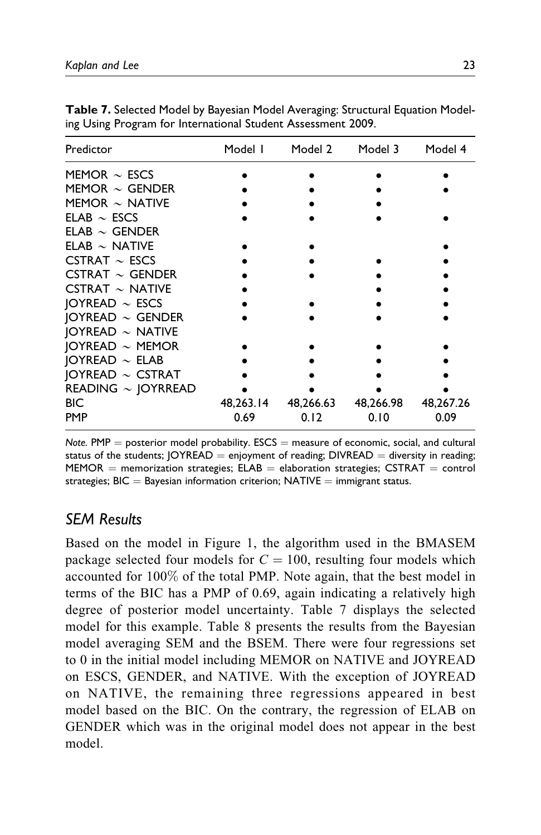| Predictor                             | Model I   | Model 2   | Model 3   | Model 4   |
|---------------------------------------|-----------|-----------|-----------|-----------|
| MEMOR $\sim$ ESCS                     |           |           |           |           |
| MEMOR $\sim$ GENDER                   |           |           |           |           |
| MEMOR $\sim$ NATIVE                   |           |           |           |           |
| ELAB $\sim$ ESCS                      |           |           |           |           |
| $FLAB \sim$ GENDER                    |           |           |           |           |
| $FLAB \sim NATIVE$                    |           |           |           |           |
| CSTRAT $\sim$ ESCS                    |           |           |           |           |
| CSTRAT $\sim$ GENDER                  |           |           |           |           |
| CSTRAT $\sim$ NATIVE                  |           |           |           |           |
| $OYREAD \sim ESCS$                    |           |           |           |           |
| $\textsf{IOYREAD}\sim\textsf{GENDER}$ |           |           |           |           |
| $\overline{O}$ YREAD $\sim$ NATIVE    |           |           |           |           |
| $\overline{O}$ YREAD $\sim$ MEMOR     |           |           |           |           |
| $\overline{O}$ YREAD $\sim$ ELAB      |           |           |           |           |
| $OYREAD \sim CSTRAT$                  |           |           |           |           |
| READING $\sim$ JOYRREAD               |           |           |           |           |
| <b>BIC</b>                            | 48.263.14 | 48,266.63 | 48.266.98 | 48.267.26 |
| <b>PMP</b>                            | 0.69      | 0.12      | 0.10      | 0.09      |

Table 7. Selected Model by Bayesian Model Averaging: Structural Equation Modeling Using Program for International Student Assessment 2009.

Note. PMP  $=$  posterior model probability. ESCS  $=$  measure of economic, social, and cultural status of the students; JOYREAD = enjoyment of reading; DIVREAD = diversity in reading;  $MEMOR$  = memorization strategies; ELAB = elaboration strategies; CSTRAT = control strategies;  $BIC =$  Bayesian information criterion;  $NATIVE =$  immigrant status.

# SEM Results

Based on the model in Figure 1, the algorithm used in the BMASEM package selected four models for  $C = 100$ , resulting four models which accounted for 100% of the total PMP. Note again, that the best model in terms of the BIC has a PMP of 0.69, again indicating a relatively high degree of posterior model uncertainty. Table 7 displays the selected model for this example. Table 8 presents the results from the Bayesian model averaging SEM and the BSEM. There were four regressions set to 0 in the initial model including MEMOR on NATIVE and JOYREAD on ESCS, GENDER, and NATIVE. With the exception of JOYREAD on NATIVE, the remaining three regressions appeared in best model based on the BIC. On the contrary, the regression of ELAB on GENDER which was in the original model does not appear in the best model.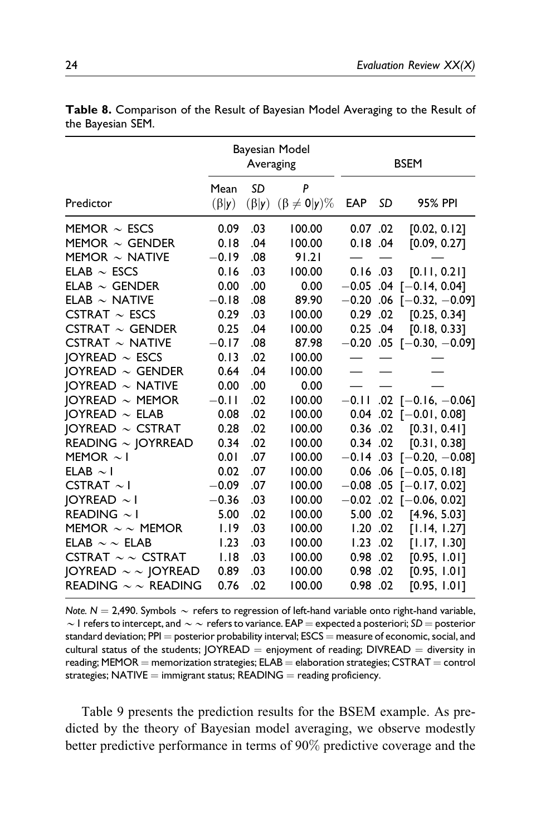|                                       | Bayesian Model<br>Averaging |             |                               |            | <b>BSEM</b> |                                |  |
|---------------------------------------|-----------------------------|-------------|-------------------------------|------------|-------------|--------------------------------|--|
|                                       | Mean                        | SD          | P                             |            |             |                                |  |
| Predictor                             | $(\beta y)$                 | $(\beta y)$ | $(\beta \neq 0 \mathbf{y})\%$ | EAP        | SD          | <b>95% PPI</b>                 |  |
| MEMOR $\sim$ ESCS                     | 0.09                        | .03         | 100.00                        | $0.07$ .02 |             | [0.02, 0.12]                   |  |
| MEMOR $\sim$ GENDER                   | 0.18                        | .04         | 100.00                        | $0.18$ .04 |             | [0.09, 0.27]                   |  |
| MEMOR $\sim$ NATIVE                   | $-0.19$                     | .08         | 91.21                         |            |             |                                |  |
| $ELAB \sim ESCS$                      | 0.16                        | .03         | 100.00                        | $0.16$ .03 |             | [0.11, 0.21]                   |  |
| ELAB $\sim$ GENDER                    | 0.00                        | .00         | 0.00                          |            |             | $-0.05$ .04 [-0.14, 0.04]      |  |
| ELAB $\sim$ NATIVE                    | $-0.18$                     | .08         | 89.90                         |            |             | $-0.20$ .06 [ $-0.32, -0.09$ ] |  |
| CSTRAT $\sim$ ESCS                    | 0.29                        | .03         | 100.00                        | 0.29 .02   |             | [0.25, 0.34]                   |  |
| CSTRAT $\sim$ GENDER                  | 0.25                        | .04         | 100.00                        | $0.25$ .04 |             | [0.18, 0.33]                   |  |
| CSTRAT $\sim$ NATIVE                  | $-0.17$                     | .08         | 87.98                         |            |             | $-0.20$ .05 [ $-0.30, -0.09$ ] |  |
| $OYREAD \sim ESCS$                    | 0.13                        | .02         | 100.00                        |            |             |                                |  |
| JOYREAD $\sim$ GENDER                 | 0.64                        | .04         | 100.00                        |            |             |                                |  |
| $\overline{O}$ YREAD $\sim$ NATIVE    | 0.00                        | .00         | 0.00                          |            |             |                                |  |
| $\overline{O}$ YREAD $\sim$ MEMOR     | $-0.11$                     | .02         | 100.00                        | $-0.11$    |             | .02 $[-0.16, -0.06]$           |  |
| $\text{JOYREAD} \sim \text{ELAB}$     | 0.08                        | .02         | 100.00                        |            |             | $0.04$ .02 [-0.01, 0.08]       |  |
| $J$ OYREAD $\sim$ CSTRAT              | 0.28                        | .02         | 100.00                        | 0.36 .02   |             | [0.31, 0.41]                   |  |
| READING $\sim$ JOYRREAD               | 0.34                        | .02         | 100.00                        | 0.34 .02   |             | [0.31, 0.38]                   |  |
| MEMOR $\sim$ I                        | 0.01                        | .07         | 100.00                        |            |             | $-0.14$ .03 [ $-0.20, -0.08$ ] |  |
| ELAB $\sim$ I                         | 0.02                        | .07         | 100.00                        |            |             | $0.06$ .06 [-0.05, 0.18]       |  |
| CSTRAT $\sim$ I                       | $-0.09$                     | .07         | 100.00                        |            |             | $-0.08$ .05 [-0.17, 0.02]      |  |
| $\overline{OYREAD} \sim \overline{O}$ | $-0.36$                     | .03         | 100.00                        |            |             | $-0.02$ .02 [-0.06, 0.02]      |  |
| READING $\sim$ 1                      | 5.00                        | .02         | 100.00                        | 5.00 .02   |             | [4.96, 5.03]                   |  |
| MEMOR $\sim$ $\sim$ MEMOR             | 1.19                        | .03         | 100.00                        | 1.20.02    |             | [1.14, 1.27]                   |  |
| ELAB $\sim$ $\sim$ ELAB               | 1.23                        | .03         | 100.00                        | 1.23.02    |             | [1.17, 1.30]                   |  |
| CSTRAT $\sim$ $\sim$ CSTRAT           | 1.18                        | .03         | 100.00                        | 0.98       | .02         | [0.95, 1.01]                   |  |
| JOYREAD $\sim$ $\sim$ JOYREAD         | 0.89                        | .03         | 100.00                        | 0.98       | .02         | [0.95, 1.01]                   |  |
| READING $\sim$ $\sim$ READING         | 0.76                        | .02         | 100.00                        | 0.98 .02   |             | [0.95, 1.01]                   |  |

Table 8. Comparison of the Result of Bayesian Model Averaging to the Result of the Bayesian SEM.

Note.  $N = 2,490$ . Symbols  $\sim$  refers to regression of left-hand variable onto right-hand variable,  $\sim$  1 refers to intercept, and  $\sim$   $\sim$  refers to variance. EAP = expected a posteriori; SD = posterior standard deviation;  $PPI =$  posterior probability interval; ESCS  $=$  measure of economic, social, and cultural status of the students;  $\text{OYREAD} = \text{enjoyment}$  of reading;  $\text{DIVREAD} = \text{diversity}$  in reading;  $\text{MEMOR} = \text{memorization strategies}$ ; ELAB = elaboration strategies; CSTRAT = control strategies;  $NATIVE =$  immigrant status;  $READING =$  reading proficiency.

Table 9 presents the prediction results for the BSEM example. As predicted by the theory of Bayesian model averaging, we observe modestly better predictive performance in terms of 90% predictive coverage and the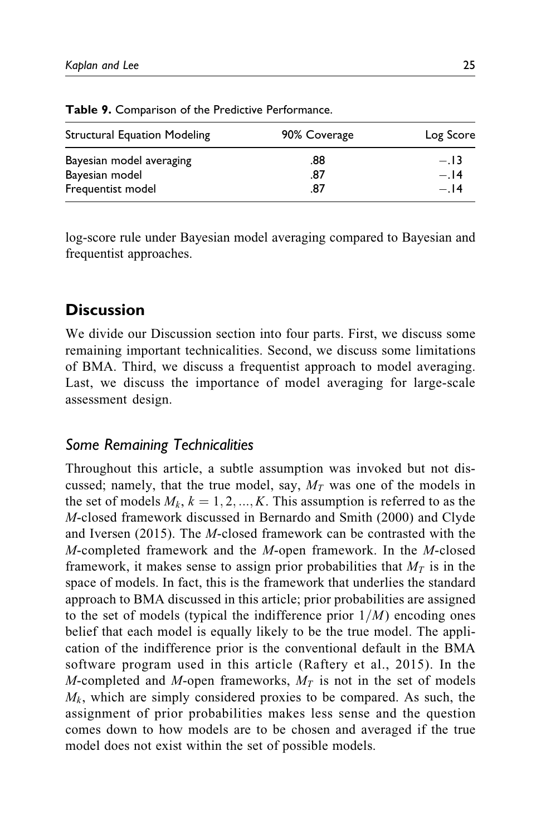| <b>Structural Equation Modeling</b> | 90% Coverage | Log Score |
|-------------------------------------|--------------|-----------|
| Bayesian model averaging            | .88          | $-.13$    |
| Bayesian model                      | .87          | $-.14$    |
| Frequentist model                   | 87           | $-14$     |

Table 9. Comparison of the Predictive Performance.

log-score rule under Bayesian model averaging compared to Bayesian and frequentist approaches.

# **Discussion**

We divide our Discussion section into four parts. First, we discuss some remaining important technicalities. Second, we discuss some limitations of BMA. Third, we discuss a frequentist approach to model averaging. Last, we discuss the importance of model averaging for large-scale assessment design.

# Some Remaining Technicalities

Throughout this article, a subtle assumption was invoked but not discussed; namely, that the true model, say,  $M_T$  was one of the models in the set of models  $M_k$ ,  $k = 1, 2, ..., K$ . This assumption is referred to as the M-closed framework discussed in Bernardo and Smith (2000) and Clyde and Iversen (2015). The M-closed framework can be contrasted with the M-completed framework and the M-open framework. In the M-closed framework, it makes sense to assign prior probabilities that  $M_T$  is in the space of models. In fact, this is the framework that underlies the standard approach to BMA discussed in this article; prior probabilities are assigned to the set of models (typical the indifference prior  $1/M$ ) encoding ones belief that each model is equally likely to be the true model. The application of the indifference prior is the conventional default in the BMA software program used in this article (Raftery et al., 2015). In the M-completed and M-open frameworks,  $M_T$  is not in the set of models  $M_k$ , which are simply considered proxies to be compared. As such, the assignment of prior probabilities makes less sense and the question comes down to how models are to be chosen and averaged if the true model does not exist within the set of possible models.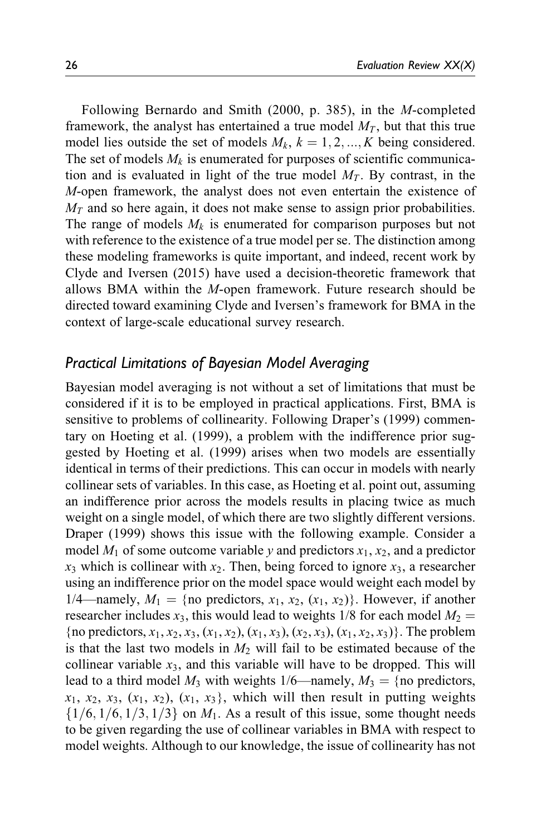Following Bernardo and Smith (2000, p. 385), in the M-completed framework, the analyst has entertained a true model  $M_T$ , but that this true model lies outside the set of models  $M_k$ ,  $k = 1, 2, ..., K$  being considered. The set of models  $M_k$  is enumerated for purposes of scientific communication and is evaluated in light of the true model  $M_T$ . By contrast, in the M-open framework, the analyst does not even entertain the existence of  $M_T$  and so here again, it does not make sense to assign prior probabilities. The range of models  $M_k$  is enumerated for comparison purposes but not with reference to the existence of a true model per se. The distinction among these modeling frameworks is quite important, and indeed, recent work by Clyde and Iversen (2015) have used a decision-theoretic framework that allows BMA within the M-open framework. Future research should be directed toward examining Clyde and Iversen's framework for BMA in the context of large-scale educational survey research.

# Practical Limitations of Bayesian Model Averaging

Bayesian model averaging is not without a set of limitations that must be considered if it is to be employed in practical applications. First, BMA is sensitive to problems of collinearity. Following Draper's (1999) commentary on Hoeting et al. (1999), a problem with the indifference prior suggested by Hoeting et al. (1999) arises when two models are essentially identical in terms of their predictions. This can occur in models with nearly collinear sets of variables. In this case, as Hoeting et al. point out, assuming an indifference prior across the models results in placing twice as much weight on a single model, of which there are two slightly different versions. Draper (1999) shows this issue with the following example. Consider a model  $M_1$  of some outcome variable y and predictors  $x_1, x_2$ , and a predictor  $x_3$  which is collinear with  $x_2$ . Then, being forced to ignore  $x_3$ , a researcher using an indifference prior on the model space would weight each model by 1/4—namely,  $M_1 = \{no \text{ predictors}, x_1, x_2, (x_1, x_2)\}.$  However, if another researcher includes  $x_3$ , this would lead to weights 1/8 for each model  $M_2$  = {no predictors,  $x_1, x_2, x_3, (x_1, x_2), (x_1, x_3), (x_2, x_3), (x_1, x_2, x_3)$ }. The problem is that the last two models in  $M_2$  will fail to be estimated because of the collinear variable  $x_3$ , and this variable will have to be dropped. This will lead to a third model  $M_3$  with weights 1/6—namely,  $M_3 = \{no \text{ predictors}, \text{or} \}$  $x_1, x_2, x_3, (x_1, x_2), (x_1, x_3)$ , which will then result in putting weights  $\{1/6, 1/6, 1/3, 1/3\}$  on  $M_1$ . As a result of this issue, some thought needs to be given regarding the use of collinear variables in BMA with respect to model weights. Although to our knowledge, the issue of collinearity has not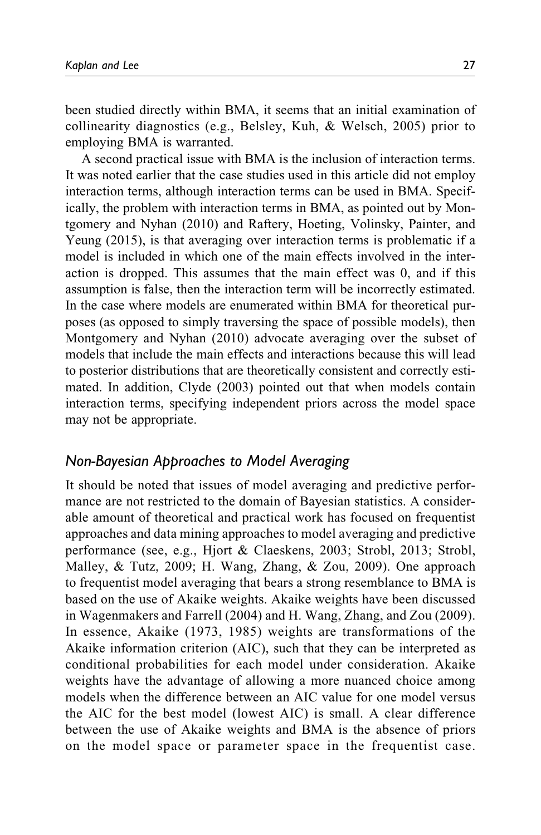been studied directly within BMA, it seems that an initial examination of collinearity diagnostics (e.g., Belsley, Kuh, & Welsch, 2005) prior to employing BMA is warranted.

A second practical issue with BMA is the inclusion of interaction terms. It was noted earlier that the case studies used in this article did not employ interaction terms, although interaction terms can be used in BMA. Specifically, the problem with interaction terms in BMA, as pointed out by Montgomery and Nyhan (2010) and Raftery, Hoeting, Volinsky, Painter, and Yeung (2015), is that averaging over interaction terms is problematic if a model is included in which one of the main effects involved in the interaction is dropped. This assumes that the main effect was 0, and if this assumption is false, then the interaction term will be incorrectly estimated. In the case where models are enumerated within BMA for theoretical purposes (as opposed to simply traversing the space of possible models), then Montgomery and Nyhan (2010) advocate averaging over the subset of models that include the main effects and interactions because this will lead to posterior distributions that are theoretically consistent and correctly estimated. In addition, Clyde (2003) pointed out that when models contain interaction terms, specifying independent priors across the model space may not be appropriate.

## Non-Bayesian Approaches to Model Averaging

It should be noted that issues of model averaging and predictive performance are not restricted to the domain of Bayesian statistics. A considerable amount of theoretical and practical work has focused on frequentist approaches and data mining approaches to model averaging and predictive performance (see, e.g., Hjort & Claeskens, 2003; Strobl, 2013; Strobl, Malley, & Tutz, 2009; H. Wang, Zhang, & Zou, 2009). One approach to frequentist model averaging that bears a strong resemblance to BMA is based on the use of Akaike weights. Akaike weights have been discussed in Wagenmakers and Farrell (2004) and H. Wang, Zhang, and Zou (2009). In essence, Akaike (1973, 1985) weights are transformations of the Akaike information criterion (AIC), such that they can be interpreted as conditional probabilities for each model under consideration. Akaike weights have the advantage of allowing a more nuanced choice among models when the difference between an AIC value for one model versus the AIC for the best model (lowest AIC) is small. A clear difference between the use of Akaike weights and BMA is the absence of priors on the model space or parameter space in the frequentist case.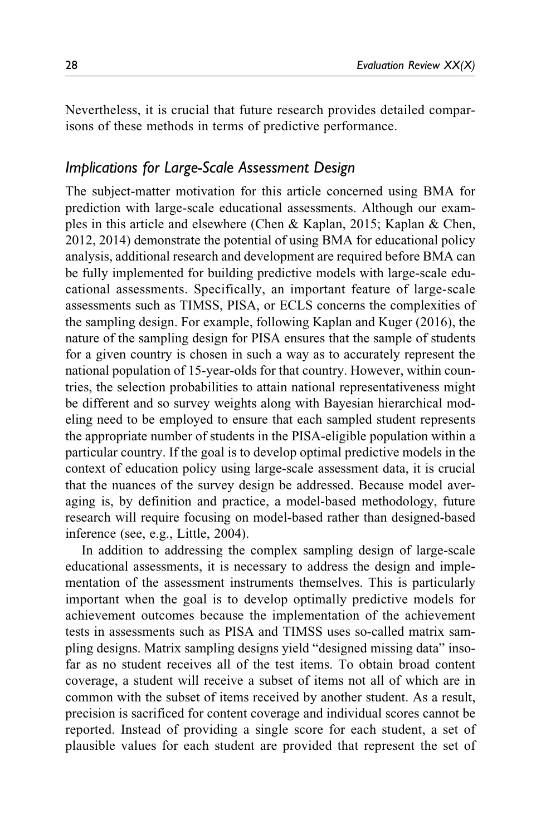Nevertheless, it is crucial that future research provides detailed comparisons of these methods in terms of predictive performance.

## Implications for Large-Scale Assessment Design

The subject-matter motivation for this article concerned using BMA for prediction with large-scale educational assessments. Although our examples in this article and elsewhere (Chen & Kaplan, 2015; Kaplan & Chen, 2012, 2014) demonstrate the potential of using BMA for educational policy analysis, additional research and development are required before BMA can be fully implemented for building predictive models with large-scale educational assessments. Specifically, an important feature of large-scale assessments such as TIMSS, PISA, or ECLS concerns the complexities of the sampling design. For example, following Kaplan and Kuger (2016), the nature of the sampling design for PISA ensures that the sample of students for a given country is chosen in such a way as to accurately represent the national population of 15-year-olds for that country. However, within countries, the selection probabilities to attain national representativeness might be different and so survey weights along with Bayesian hierarchical modeling need to be employed to ensure that each sampled student represents the appropriate number of students in the PISA-eligible population within a particular country. If the goal is to develop optimal predictive models in the context of education policy using large-scale assessment data, it is crucial that the nuances of the survey design be addressed. Because model averaging is, by definition and practice, a model-based methodology, future research will require focusing on model-based rather than designed-based inference (see, e.g., Little, 2004).

In addition to addressing the complex sampling design of large-scale educational assessments, it is necessary to address the design and implementation of the assessment instruments themselves. This is particularly important when the goal is to develop optimally predictive models for achievement outcomes because the implementation of the achievement tests in assessments such as PISA and TIMSS uses so-called matrix sampling designs. Matrix sampling designs yield "designed missing data" insofar as no student receives all of the test items. To obtain broad content coverage, a student will receive a subset of items not all of which are in common with the subset of items received by another student. As a result, precision is sacrificed for content coverage and individual scores cannot be reported. Instead of providing a single score for each student, a set of plausible values for each student are provided that represent the set of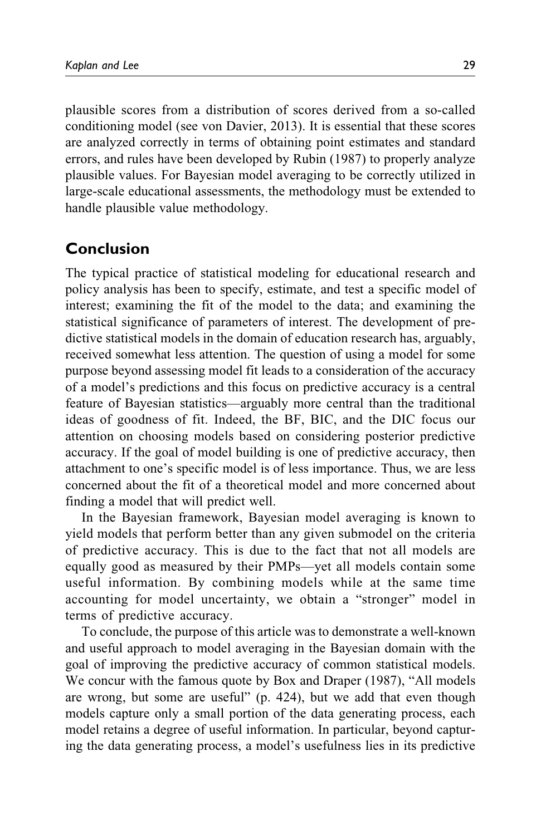plausible scores from a distribution of scores derived from a so-called conditioning model (see von Davier, 2013). It is essential that these scores are analyzed correctly in terms of obtaining point estimates and standard errors, and rules have been developed by Rubin (1987) to properly analyze plausible values. For Bayesian model averaging to be correctly utilized in large-scale educational assessments, the methodology must be extended to handle plausible value methodology.

# Conclusion

The typical practice of statistical modeling for educational research and policy analysis has been to specify, estimate, and test a specific model of interest; examining the fit of the model to the data; and examining the statistical significance of parameters of interest. The development of predictive statistical models in the domain of education research has, arguably, received somewhat less attention. The question of using a model for some purpose beyond assessing model fit leads to a consideration of the accuracy of a model's predictions and this focus on predictive accuracy is a central feature of Bayesian statistics—arguably more central than the traditional ideas of goodness of fit. Indeed, the BF, BIC, and the DIC focus our attention on choosing models based on considering posterior predictive accuracy. If the goal of model building is one of predictive accuracy, then attachment to one's specific model is of less importance. Thus, we are less concerned about the fit of a theoretical model and more concerned about finding a model that will predict well.

In the Bayesian framework, Bayesian model averaging is known to yield models that perform better than any given submodel on the criteria of predictive accuracy. This is due to the fact that not all models are equally good as measured by their PMPs—yet all models contain some useful information. By combining models while at the same time accounting for model uncertainty, we obtain a "stronger" model in terms of predictive accuracy.

To conclude, the purpose of this article was to demonstrate a well-known and useful approach to model averaging in the Bayesian domain with the goal of improving the predictive accuracy of common statistical models. We concur with the famous quote by Box and Draper (1987), "All models are wrong, but some are useful" (p. 424), but we add that even though models capture only a small portion of the data generating process, each model retains a degree of useful information. In particular, beyond capturing the data generating process, a model's usefulness lies in its predictive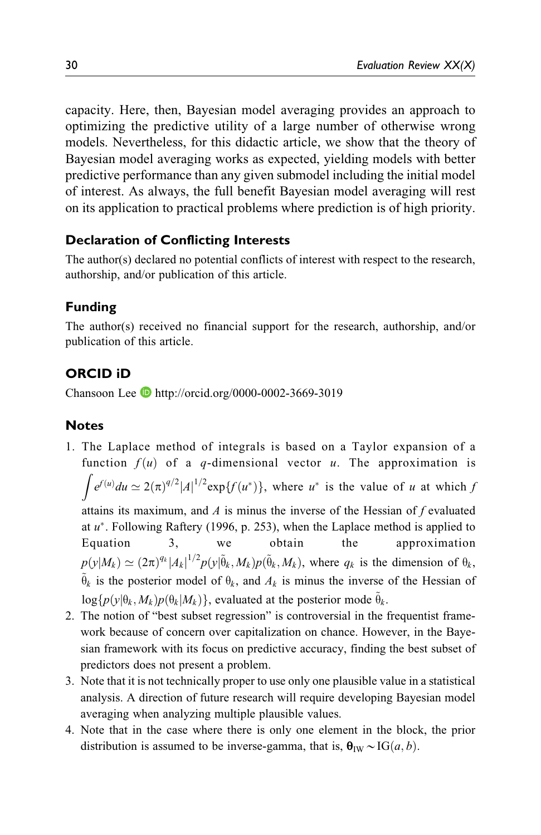capacity. Here, then, Bayesian model averaging provides an approach to optimizing the predictive utility of a large number of otherwise wrong models. Nevertheless, for this didactic article, we show that the theory of Bayesian model averaging works as expected, yielding models with better predictive performance than any given submodel including the initial model of interest. As always, the full benefit Bayesian model averaging will rest on its application to practical problems where prediction is of high priority.

#### Declaration of Conflicting Interests

The author(s) declared no potential conflicts of interest with respect to the research, authorship, and/or publication of this article.

#### Funding

The author(s) received no financial support for the research, authorship, and/or publication of this article.

#### ORCID iD

Chansoon Lee <http://orcid.org/0000-0002-3669-3019>

#### **Notes**

1. The Laplace method of integrals is based on a Taylor expansion of a function  $f(u)$  of a q-dimensional vector u. The approximation is  $e^{f(u)}du \simeq 2(\pi)^{q/2}|A|^{1/2} \exp\{f(u^*)\}$ , where  $u^*$  is the value of u at which f attains its maximum, and  $A$  is minus the inverse of the Hessian of  $f$  evaluated

at  $u^*$ . Following Raftery (1996, p. 253), when the Laplace method is applied to Equation 3, we obtain the approximation  $p(y|M_k) \simeq (2\pi)^{q_k} |A_k|^{1/2} p(y|\tilde{\theta}_k, M_k) p(\tilde{\theta}_k, M_k)$ , where  $q_k$  is the dimension of  $\theta_k$ ,  $\hat{\theta}_k$  is the posterior model of  $\theta_k$ , and  $A_k$  is minus the inverse of the Hessian of  $\log\{p(y|\theta_k, M_k)p(\theta_k|M_k)\}\$ , evaluated at the posterior mode  $\theta_k$ .

- 2. The notion of "best subset regression" is controversial in the frequentist framework because of concern over capitalization on chance. However, in the Bayesian framework with its focus on predictive accuracy, finding the best subset of predictors does not present a problem.
- 3. Note that it is not technically proper to use only one plausible value in a statistical analysis. A direction of future research will require developing Bayesian model averaging when analyzing multiple plausible values.
- 4. Note that in the case where there is only one element in the block, the prior distribution is assumed to be inverse-gamma, that is,  $\mathbf{\theta}_{IW} \sim IG(a, b)$ .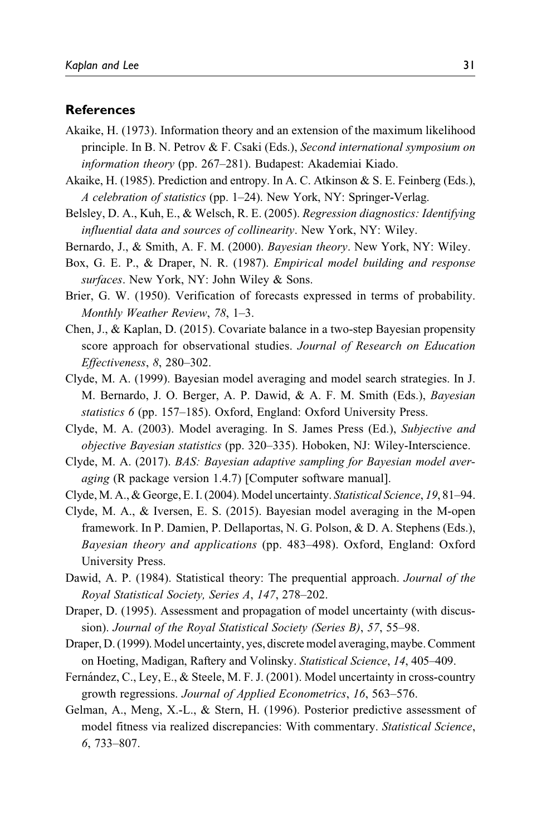#### References

- Akaike, H. (1973). Information theory and an extension of the maximum likelihood principle. In B. N. Petrov & F. Csaki (Eds.), Second international symposium on information theory (pp. 267–281). Budapest: Akademiai Kiado.
- Akaike, H. (1985). Prediction and entropy. In A. C. Atkinson & S. E. Feinberg (Eds.), A celebration of statistics (pp. 1–24). New York, NY: Springer-Verlag.
- Belsley, D. A., Kuh, E., & Welsch, R. E. (2005). Regression diagnostics: Identifying influential data and sources of collinearity. New York, NY: Wiley.
- Bernardo, J., & Smith, A. F. M. (2000). Bayesian theory. New York, NY: Wiley.
- Box, G. E. P., & Draper, N. R. (1987). Empirical model building and response surfaces. New York, NY: John Wiley & Sons.
- Brier, G. W. (1950). Verification of forecasts expressed in terms of probability. Monthly Weather Review, 78, 1–3.
- Chen, J., & Kaplan, D. (2015). Covariate balance in a two-step Bayesian propensity score approach for observational studies. Journal of Research on Education Effectiveness, 8, 280–302.
- Clyde, M. A. (1999). Bayesian model averaging and model search strategies. In J. M. Bernardo, J. O. Berger, A. P. Dawid, & A. F. M. Smith (Eds.), Bayesian statistics 6 (pp. 157–185). Oxford, England: Oxford University Press.
- Clyde, M. A. (2003). Model averaging. In S. James Press (Ed.), Subjective and objective Bayesian statistics (pp. 320–335). Hoboken, NJ: Wiley-Interscience.
- Clyde, M. A. (2017). BAS: Bayesian adaptive sampling for Bayesian model averaging (R package version 1.4.7) [Computer software manual].
- Clyde, M. A., & George, E. I. (2004). Model uncertainty. Statistical Science, 19, 81–94.
- Clyde, M. A., & Iversen, E. S. (2015). Bayesian model averaging in the M-open framework. In P. Damien, P. Dellaportas, N. G. Polson, & D. A. Stephens (Eds.), Bayesian theory and applications (pp. 483–498). Oxford, England: Oxford University Press.
- Dawid, A. P. (1984). Statistical theory: The prequential approach. Journal of the Royal Statistical Society, Series A, 147, 278–202.
- Draper, D. (1995). Assessment and propagation of model uncertainty (with discussion). Journal of the Royal Statistical Society (Series B), 57, 55–98.
- Draper, D. (1999). Model uncertainty, yes, discrete model averaging, maybe. Comment on Hoeting, Madigan, Raftery and Volinsky. Statistical Science, 14, 405–409.
- Fernández, C., Ley, E., & Steele, M. F. J. (2001). Model uncertainty in cross-country growth regressions. Journal of Applied Econometrics, 16, 563–576.
- Gelman, A., Meng, X.-L., & Stern, H. (1996). Posterior predictive assessment of model fitness via realized discrepancies: With commentary. Statistical Science, 6, 733–807.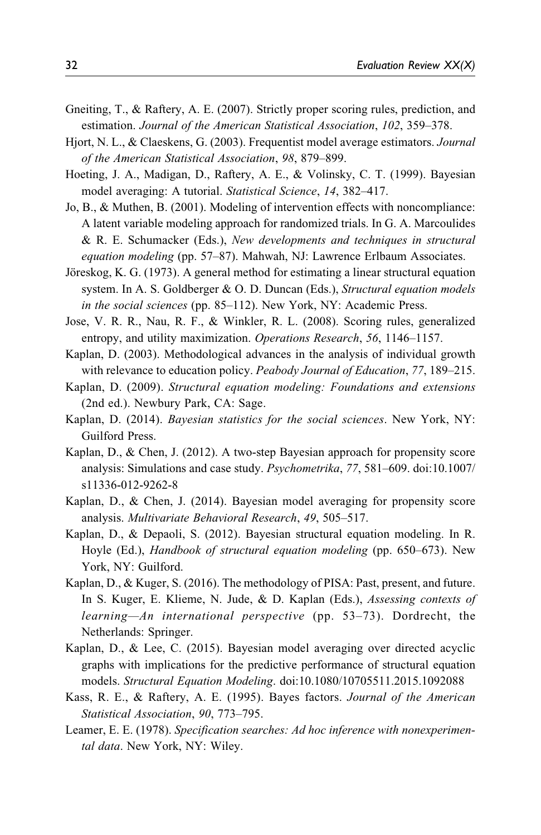- Gneiting, T., & Raftery, A. E. (2007). Strictly proper scoring rules, prediction, and estimation. Journal of the American Statistical Association, 102, 359–378.
- Hjort, N. L., & Claeskens, G. (2003). Frequentist model average estimators. Journal of the American Statistical Association, 98, 879–899.
- Hoeting, J. A., Madigan, D., Raftery, A. E., & Volinsky, C. T. (1999). Bayesian model averaging: A tutorial. Statistical Science, 14, 382–417.
- Jo, B., & Muthen, B. (2001). Modeling of intervention effects with noncompliance: A latent variable modeling approach for randomized trials. In G. A. Marcoulides & R. E. Schumacker (Eds.), New developments and techniques in structural equation modeling (pp. 57–87). Mahwah, NJ: Lawrence Erlbaum Associates.
- Jöreskog, K. G. (1973). A general method for estimating a linear structural equation system. In A. S. Goldberger & O. D. Duncan (Eds.), *Structural equation models* in the social sciences (pp. 85–112). New York, NY: Academic Press.
- Jose, V. R. R., Nau, R. F., & Winkler, R. L. (2008). Scoring rules, generalized entropy, and utility maximization. Operations Research, 56, 1146–1157.
- Kaplan, D. (2003). Methodological advances in the analysis of individual growth with relevance to education policy. Peabody Journal of Education, 77, 189–215.
- Kaplan, D. (2009). Structural equation modeling: Foundations and extensions (2nd ed.). Newbury Park, CA: Sage.
- Kaplan, D. (2014). Bayesian statistics for the social sciences. New York, NY: Guilford Press.
- Kaplan, D., & Chen, J. (2012). A two-step Bayesian approach for propensity score analysis: Simulations and case study. Psychometrika, 77, 581–609. doi:10.1007/ s11336-012-9262-8
- Kaplan, D., & Chen, J. (2014). Bayesian model averaging for propensity score analysis. Multivariate Behavioral Research, 49, 505–517.
- Kaplan, D., & Depaoli, S. (2012). Bayesian structural equation modeling. In R. Hoyle (Ed.), Handbook of structural equation modeling (pp. 650–673). New York, NY: Guilford.
- Kaplan, D., & Kuger, S. (2016). The methodology of PISA: Past, present, and future. In S. Kuger, E. Klieme, N. Jude, & D. Kaplan (Eds.), Assessing contexts of learning—An international perspective (pp. 53–73). Dordrecht, the Netherlands: Springer.
- Kaplan, D., & Lee, C. (2015). Bayesian model averaging over directed acyclic graphs with implications for the predictive performance of structural equation models. Structural Equation Modeling. doi:10.1080/10705511.2015.1092088
- Kass, R. E., & Raftery, A. E. (1995). Bayes factors. Journal of the American Statistical Association, 90, 773–795.
- Leamer, E. E. (1978). Specification searches: Ad hoc inference with nonexperimental data. New York, NY: Wiley.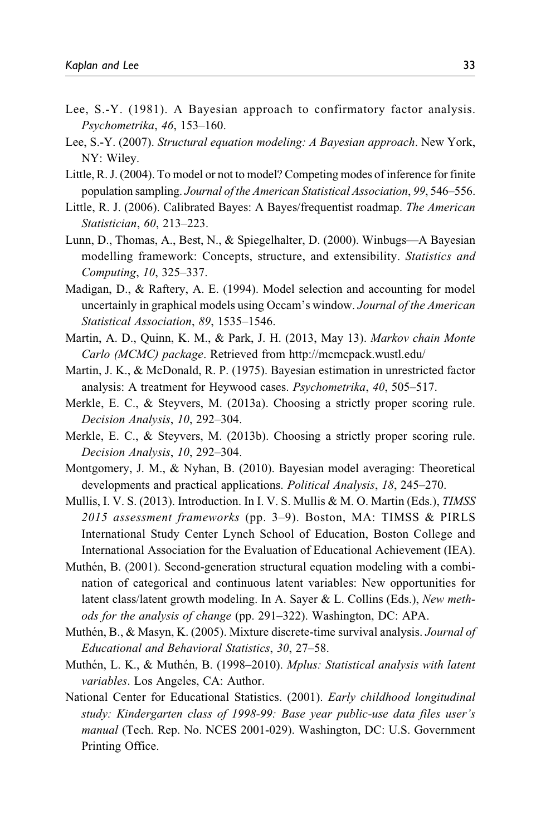- Lee, S.-Y. (1981). A Bayesian approach to confirmatory factor analysis. Psychometrika, 46, 153–160.
- Lee, S.-Y. (2007). Structural equation modeling: A Bayesian approach. New York, NY: Wiley.
- Little, R. J. (2004). To model or not to model? Competing modes of inference for finite population sampling. Journal of the American Statistical Association, 99, 546–556.
- Little, R. J. (2006). Calibrated Bayes: A Bayes/frequentist roadmap. The American Statistician, 60, 213–223.
- Lunn, D., Thomas, A., Best, N., & Spiegelhalter, D. (2000). Winbugs—A Bayesian modelling framework: Concepts, structure, and extensibility. Statistics and Computing, 10, 325–337.
- Madigan, D., & Raftery, A. E. (1994). Model selection and accounting for model uncertainly in graphical models using Occam's window. Journal of the American Statistical Association, 89, 1535–1546.
- Martin, A. D., Quinn, K. M., & Park, J. H. (2013, May 13). Markov chain Monte Carlo (MCMC) package. Retrieved from<http://mcmcpack.wustl.edu/>
- Martin, J. K., & McDonald, R. P. (1975). Bayesian estimation in unrestricted factor analysis: A treatment for Heywood cases. Psychometrika, 40, 505–517.
- Merkle, E. C., & Steyvers, M. (2013a). Choosing a strictly proper scoring rule. Decision Analysis, 10, 292–304.
- Merkle, E. C., & Steyvers, M. (2013b). Choosing a strictly proper scoring rule. Decision Analysis, 10, 292–304.
- Montgomery, J. M., & Nyhan, B. (2010). Bayesian model averaging: Theoretical developments and practical applications. Political Analysis, 18, 245–270.
- Mullis, I. V. S. (2013). Introduction. In I. V. S. Mullis & M. O. Martin (Eds.), TIMSS 2015 assessment frameworks (pp. 3–9). Boston, MA: TIMSS & PIRLS International Study Center Lynch School of Education, Boston College and International Association for the Evaluation of Educational Achievement (IEA).
- Muthén, B. (2001). Second-generation structural equation modeling with a combination of categorical and continuous latent variables: New opportunities for latent class/latent growth modeling. In A. Sayer & L. Collins (Eds.), New methods for the analysis of change (pp. 291–322). Washington, DC: APA.
- Muthén, B., & Masyn, K. (2005). Mixture discrete-time survival analysis. *Journal of* Educational and Behavioral Statistics, 30, 27–58.
- Muthén, L. K., & Muthén, B. (1998–2010). Mplus: Statistical analysis with latent variables. Los Angeles, CA: Author.
- National Center for Educational Statistics. (2001). Early childhood longitudinal study: Kindergarten class of 1998-99: Base year public-use data files user's manual (Tech. Rep. No. NCES 2001-029). Washington, DC: U.S. Government Printing Office.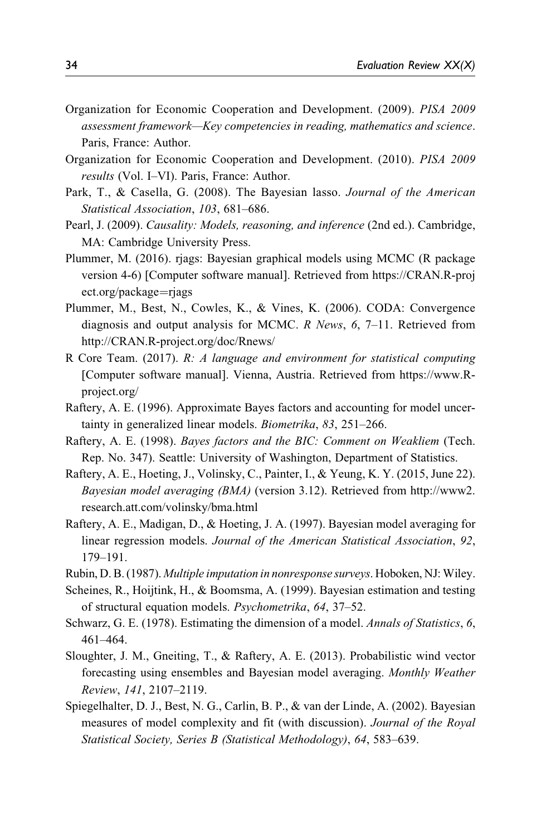- Organization for Economic Cooperation and Development. (2009). PISA 2009 assessment framework—Key competencies in reading, mathematics and science. Paris, France: Author.
- Organization for Economic Cooperation and Development. (2010). PISA 2009 results (Vol. I–VI). Paris, France: Author.
- Park, T., & Casella, G. (2008). The Bayesian lasso. Journal of the American Statistical Association, 103, 681–686.
- Pearl, J. (2009). Causality: Models, reasoning, and inference (2nd ed.). Cambridge, MA: Cambridge University Press.
- Plummer, M. (2016). rjags: Bayesian graphical models using MCMC (R package version 4-6) [Computer software manual]. Retrieved from [https://CRAN.R-proj](https://CRAN.R-project.org/package=rjags) [ect.org/package](https://CRAN.R-project.org/package=rjags)=[rjags](https://CRAN.R-project.org/package=rjags)
- Plummer, M., Best, N., Cowles, K., & Vines, K. (2006). CODA: Convergence diagnosis and output analysis for MCMC. R News, 6, 7–11. Retrieved from <http://CRAN.R-project.org/doc/Rnews/>
- R Core Team. (2017). R: A language and environment for statistical computing [Computer software manual]. Vienna, Austria. Retrieved from [https://www.R](https://www.R-project.org/)[project.org/](https://www.R-project.org/)
- Raftery, A. E. (1996). Approximate Bayes factors and accounting for model uncertainty in generalized linear models. Biometrika, 83, 251–266.
- Raftery, A. E. (1998). Bayes factors and the BIC: Comment on Weakliem (Tech. Rep. No. 347). Seattle: University of Washington, Department of Statistics.
- Raftery, A. E., Hoeting, J., Volinsky, C., Painter, I., & Yeung, K. Y. (2015, June 22). Bayesian model averaging (BMA) (version 3.12). Retrieved from [http://www2.](http://www2.research.att.com/volinsky/bma.html) [research.att.com/volinsky/bma.html](http://www2.research.att.com/volinsky/bma.html)
- Raftery, A. E., Madigan, D., & Hoeting, J. A. (1997). Bayesian model averaging for linear regression models. Journal of the American Statistical Association, 92, 179–191.
- Rubin, D. B. (1987). Multiple imputation in nonresponse surveys. Hoboken, NJ: Wiley.
- Scheines, R., Hoijtink, H., & Boomsma, A. (1999). Bayesian estimation and testing of structural equation models. Psychometrika, 64, 37–52.
- Schwarz, G. E. (1978). Estimating the dimension of a model. Annals of Statistics, 6, 461–464.
- Sloughter, J. M., Gneiting, T., & Raftery, A. E. (2013). Probabilistic wind vector forecasting using ensembles and Bayesian model averaging. Monthly Weather Review, 141, 2107–2119.
- Spiegelhalter, D. J., Best, N. G., Carlin, B. P., & van der Linde, A. (2002). Bayesian measures of model complexity and fit (with discussion). Journal of the Royal Statistical Society, Series B (Statistical Methodology), 64, 583–639.